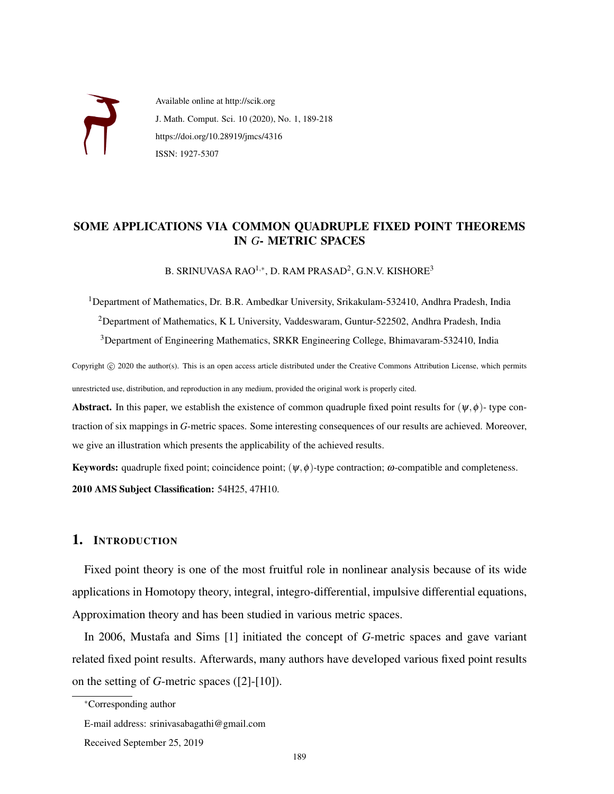

Available online at http://scik.org J. Math. Comput. Sci. 10 (2020), No. 1, 189-218 https://doi.org/10.28919/jmcs/4316 ISSN: 1927-5307

## SOME APPLICATIONS VIA COMMON QUADRUPLE FIXED POINT THEOREMS IN *G*- METRIC SPACES

B. SRINUVASA RAO $^{1,\ast}$ , D. RAM PRASAD $^{2}$ , G.N.V. KISHORE $^{3}$ 

<sup>1</sup>Department of Mathematics, Dr. B.R. Ambedkar University, Srikakulam-532410, Andhra Pradesh, India <sup>2</sup>Department of Mathematics, K L University, Vaddeswaram, Guntur-522502, Andhra Pradesh, India <sup>3</sup>Department of Engineering Mathematics, SRKR Engineering College, Bhimavaram-532410, India

Copyright © 2020 the author(s). This is an open access article distributed under the Creative Commons Attribution License, which permits unrestricted use, distribution, and reproduction in any medium, provided the original work is properly cited.

Abstract. In this paper, we establish the existence of common quadruple fixed point results for  $(\psi, \phi)$ - type contraction of six mappings in *G*-metric spaces. Some interesting consequences of our results are achieved. Moreover, we give an illustration which presents the applicability of the achieved results.

**Keywords:** quadruple fixed point; coincidence point;  $(\psi, \phi)$ -type contraction;  $\omega$ -compatible and completeness. 2010 AMS Subject Classification: 54H25, 47H10.

## 1. INTRODUCTION

Fixed point theory is one of the most fruitful role in nonlinear analysis because of its wide applications in Homotopy theory, integral, integro-differential, impulsive differential equations, Approximation theory and has been studied in various metric spaces.

In 2006, Mustafa and Sims [1] initiated the concept of *G*-metric spaces and gave variant related fixed point results. Afterwards, many authors have developed various fixed point results on the setting of *G*-metric spaces ([2]-[10]).

<sup>∗</sup>Corresponding author

E-mail address: srinivasabagathi@gmail.com

Received September 25, 2019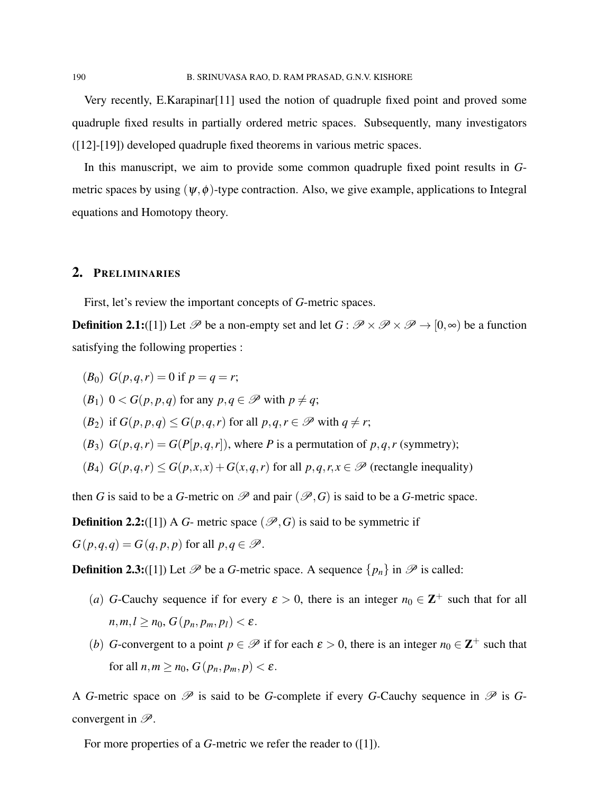Very recently, E.Karapinar[11] used the notion of quadruple fixed point and proved some quadruple fixed results in partially ordered metric spaces. Subsequently, many investigators ([12]-[19]) developed quadruple fixed theorems in various metric spaces.

In this manuscript, we aim to provide some common quadruple fixed point results in *G*metric spaces by using  $(\psi, \phi)$ -type contraction. Also, we give example, applications to Integral equations and Homotopy theory.

### 2. PRELIMINARIES

First, let's review the important concepts of *G*-metric spaces.

**Definition 2.1:**([1]) Let  $\mathscr P$  be a non-empty set and let  $G : \mathscr P \times \mathscr P \times \mathscr P \to [0,\infty)$  be a function satisfying the following properties :

$$
(B_0) G(p,q,r) = 0 \text{ if } p = q = r;
$$

 $(B_1)$   $0 < G(p, p, q)$  for any  $p, q \in \mathcal{P}$  with  $p \neq q$ ;

(*B*<sub>2</sub>) if  $G(p, p, q) \leq G(p, q, r)$  for all  $p, q, r \in \mathcal{P}$  with  $q \neq r$ ;

 $(B_3)$   $G(p,q,r) = G(P[p,q,r])$ , where *P* is a permutation of *p*,*q*,*r* (symmetry);

(*B*<sub>4</sub>)  $G(p,q,r) \leq G(p,x,x) + G(x,q,r)$  for all  $p,q,r,x \in \mathcal{P}$  (rectangle inequality)

then *G* is said to be a *G*-metric on  $\mathscr P$  and pair  $(\mathscr P, G)$  is said to be a *G*-metric space.

**Definition 2.2:**([1]) A *G*- metric space ( $\mathscr{P}, G$ ) is said to be symmetric if

 $G(p,q,q) = G(q,p,p)$  for all  $p,q \in \mathcal{P}$ .

**Definition 2.3:**([1]) Let  $\mathcal{P}$  be a *G*-metric space. A sequence  $\{p_n\}$  in  $\mathcal{P}$  is called:

- (*a*) *G*-Cauchy sequence if for every  $\varepsilon > 0$ , there is an integer  $n_0 \in \mathbb{Z}^+$  such that for all  $n,m,l \geq n_0$ ,  $G(p_n, p_m, p_l) < \varepsilon$ .
- (*b*) *G*-convergent to a point  $p \in \mathcal{P}$  if for each  $\varepsilon > 0$ , there is an integer  $n_0 \in \mathbb{Z}^+$  such that for all  $n, m \geq n_0$ ,  $G(p_n, p_m, p) < \varepsilon$ .

A *G*-metric space on  $\mathscr P$  is said to be *G*-complete if every *G*-Cauchy sequence in  $\mathscr P$  is *G*convergent in  $\mathscr{P}$ .

For more properties of a *G*-metric we refer the reader to ([1]).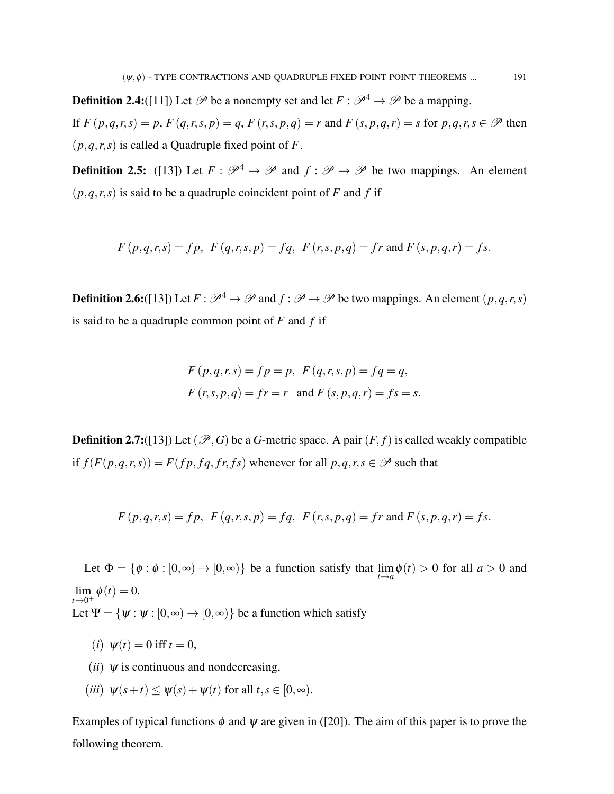**Definition 2.4:**([11]) Let  $\mathcal{P}$  be a nonempty set and let  $F : \mathcal{P}^4 \to \mathcal{P}$  be a mapping. If  $F(p,q,r,s) = p$ ,  $F(q,r,s,p) = q$ ,  $F(r,s,p,q) = r$  and  $F(s,p,q,r) = s$  for  $p,q,r,s \in \mathcal{P}$  then  $(p,q,r,s)$  is called a Quadruple fixed point of *F*.

**Definition 2.5:** ([13]) Let  $F : \mathcal{P}^4 \to \mathcal{P}$  and  $f : \mathcal{P} \to \mathcal{P}$  be two mappings. An element  $(p,q,r,s)$  is said to be a quadruple coincident point of *F* and *f* if

$$
F(p,q,r,s) = fp, F(q,r,s,p) = fq, F(r,s,p,q) = fr
$$
 and  $F(s,p,q,r) = fs$ .

**Definition 2.6:**([13]) Let  $F : \mathcal{P}^4 \to \mathcal{P}$  and  $f : \mathcal{P} \to \mathcal{P}$  be two mappings. An element  $(p, q, r, s)$ is said to be a quadruple common point of *F* and *f* if

$$
F(p,q,r,s) = fp = p, \ F(q,r,s,p) = fq = q,
$$
  

$$
F(r,s,p,q) = fr = r \text{ and } F(s,p,q,r) = fs = s.
$$

**Definition 2.7:**([13]) Let  $(\mathcal{P}, G)$  be a *G*-metric space. A pair  $(F, f)$  is called weakly compatible if  $f(F(p,q,r,s)) = F(fp, fg, fr, fs)$  whenever for all  $p,q,r,s \in \mathcal{P}$  such that

$$
F(p,q,r,s) = fp, \ F(q,r,s,p) = fq, \ F(r,s,p,q) = fr \text{ and } F(s,p,q,r) = fs.
$$

Let  $\Phi = \{\phi : \phi : [0, \infty) \to [0, \infty)\}\$  be a function satisfy that  $\lim_{t \to a} \phi(t) > 0$  for all  $a > 0$  and  $\lim_{t \to 0^+} \phi(t) = 0.$ Let  $\Psi = {\psi : \psi : [0, \infty) \to [0, \infty)}$  be a function which satisfy

- (*i*)  $\psi(t) = 0$  iff  $t = 0$ ,
- $(ii)$   $\psi$  is continuous and nondecreasing,
- (*iii*)  $\psi(s+t) \leq \psi(s) + \psi(t)$  for all  $t, s \in [0, \infty)$ .

Examples of typical functions  $\phi$  and  $\psi$  are given in ([20]). The aim of this paper is to prove the following theorem.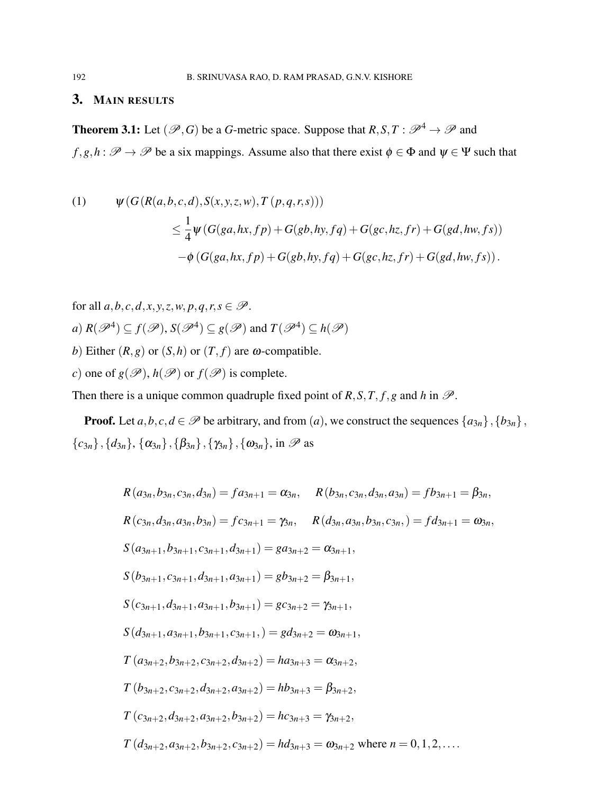## 3. MAIN RESULTS

**Theorem 3.1:** Let  $(\mathcal{P}, G)$  be a *G*-metric space. Suppose that  $R, S, T : \mathcal{P}^4 \to \mathcal{P}$  and  $f, g, h : \mathscr{P} \to \mathscr{P}$  be a six mappings. Assume also that there exist  $\phi \in \Phi$  and  $\psi \in \Psi$  such that

(1) 
$$
\psi(G(R(a,b,c,d),S(x,y,z,w),T(p,q,r,s)))\leq \frac{1}{4}\psi(G(ga,hx,fp)+G(gb,hy,fq)+G(gc,hz,fr)+G(gd,hw,fs))
$$

$$
-\phi(G(ga,hx,fp)+G(gb,hy,fq)+G(gc,hz,fr)+G(gd,hw,fs)).
$$

for all 
$$
a, b, c, d, x, y, z, w, p, q, r, s \in \mathcal{P}
$$
.  
\n*a)*  $R(\mathcal{P}^4) \subseteq f(\mathcal{P}), S(\mathcal{P}^4) \subseteq g(\mathcal{P})$  and  $T(\mathcal{P}^4) \subseteq h(\mathcal{P})$   
\n*b)* Either  $(R, g)$  or  $(S, h)$  or  $(T, f)$  are  $\omega$ -compatible.  
\n*c)* one of  $g(\mathcal{P}), h(\mathcal{P})$  or  $f(\mathcal{P})$  is complete.

Then there is a unique common quadruple fixed point of  $R$ ,  $S$ ,  $T$ ,  $f$ ,  $g$  and  $h$  in  $\mathcal{P}$ .

**Proof.** Let  $a, b, c, d \in \mathcal{P}$  be arbitrary, and from  $(a)$ , we construct the sequences  $\{a_{3n}\}, \{b_{3n}\},$  ${c_{3n}}$ ,  ${d_{3n}}$ ,  ${\alpha_{3n}}$ ,  ${\beta_{3n}}$ ,  ${\gamma_{3n}}$ ,  ${\alpha_{3n}}$ , in  $\mathscr P$  as

$$
R(a_{3n}, b_{3n}, c_{3n}, d_{3n}) = fa_{3n+1} = \alpha_{3n}, \qquad R(b_{3n}, c_{3n}, d_{3n}, a_{3n}) = fb_{3n+1} = \beta_{3n},
$$
  
\n
$$
R(c_{3n}, d_{3n}, a_{3n}, b_{3n}) = fc_{3n+1} = \gamma_{3n}, \qquad R(d_{3n}, a_{3n}, b_{3n}, c_{3n}) = fd_{3n+1} = \omega_{3n},
$$
  
\n
$$
S(a_{3n+1}, b_{3n+1}, c_{3n+1}, d_{3n+1}) = ga_{3n+2} = \alpha_{3n+1},
$$
  
\n
$$
S(b_{3n+1}, c_{3n+1}, d_{3n+1}, a_{3n+1}) = gb_{3n+2} = \beta_{3n+1},
$$
  
\n
$$
S(c_{3n+1}, d_{3n+1}, a_{3n+1}, b_{3n+1}) = gc_{3n+2} = \gamma_{3n+1},
$$
  
\n
$$
S(d_{3n+1}, a_{3n+1}, b_{3n+1}, c_{3n+1}, ) = gd_{3n+2} = \omega_{3n+1},
$$
  
\n
$$
T(a_{3n+2}, b_{3n+2}, c_{3n+2}, d_{3n+2}) = ha_{3n+3} = \alpha_{3n+2},
$$
  
\n
$$
T(b_{3n+2}, c_{3n+2}, d_{3n+2}, a_{3n+2}) = hb_{3n+3} = \beta_{3n+2},
$$
  
\n
$$
T(c_{3n+2}, d_{3n+2}, a_{3n+2}, b_{3n+2}) = hc_{3n+3} = \gamma_{3n+2},
$$
  
\n
$$
T(d_{3n+2}, a_{3n+2}, b_{3n+2}, c_{3n+2}) = hd_{3n+3} = \omega_{3n+2} \text{ where } n = 0, 1, 2, ...
$$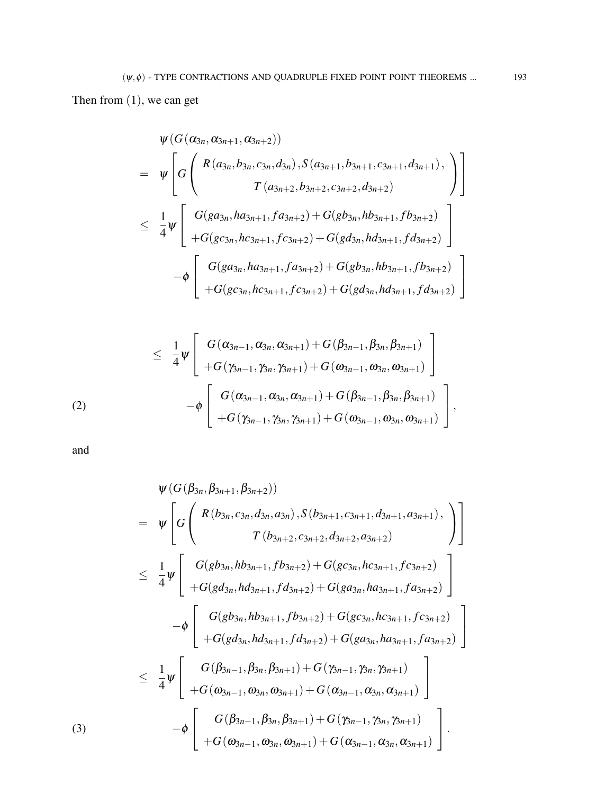Then from (1), we can get

$$
\psi(G(\alpha_{3n}, \alpha_{3n+1}, \alpha_{3n+2}))
$$
\n
$$
= \psi \left[ G \left( \begin{array}{c} R(a_{3n}, b_{3n}, c_{3n}, d_{3n}), S(a_{3n+1}, b_{3n+1}, c_{3n+1}, d_{3n+1}), \\ T(a_{3n+2}, b_{3n+2}, c_{3n+2}, d_{3n+2}) \end{array} \right) \right]
$$
\n
$$
\leq \frac{1}{4} \psi \left[ \begin{array}{c} G(ga_{3n}, ha_{3n+1}, fa_{3n+2}) + G(gb_{3n}, hb_{3n+1}, fb_{3n+2}) \\ + G(gc_{3n}, hc_{3n+1}, fc_{3n+2}) + G(gd_{3n}, hd_{3n+1}, fd_{3n+2}) \end{array} \right]
$$
\n
$$
- \phi \left[ \begin{array}{c} G(ga_{3n}, ha_{3n+1}, fa_{3n+2}) + G(gb_{3n}, hb_{3n+1}, fb_{3n+2}) \\ + G(gc_{3n}, hc_{3n+1}, fc_{3n+2}) + G(gd_{3n}, hd_{3n+1}, fd_{3n+2}) \end{array} \right]
$$

$$
\leq \frac{1}{4}\psi\left[\begin{array}{c} G(\alpha_{3n-1},\alpha_{3n},\alpha_{3n+1})+G(\beta_{3n-1},\beta_{3n},\beta_{3n+1})\\+G(\gamma_{3n-1},\gamma_{3n},\gamma_{3n+1})+G(\omega_{3n-1},\omega_{3n},\omega_{3n+1})\end{array}\right] -\phi\left[\begin{array}{c} G(\alpha_{3n-1},\alpha_{3n},\alpha_{3n+1})+G(\beta_{3n-1},\beta_{3n},\beta_{3n+1})\\+G(\gamma_{3n-1},\gamma_{3n},\gamma_{3n+1})+G(\omega_{3n-1},\omega_{3n},\omega_{3n+1})\end{array}\right],
$$

and

$$
\Psi(G(\beta_{3n}, \beta_{3n+1}, \beta_{3n+2}))
$$
\n
$$
= \Psi \left[ G \left( \begin{array}{c} R(b_{3n}, c_{3n}, d_{3n}, a_{3n}), S(b_{3n+1}, c_{3n+1}, d_{3n+1}, a_{3n+1}), \\ T(b_{3n+2}, c_{3n+2}, d_{3n+2}, a_{3n+2}) \end{array} \right) \right]
$$
\n
$$
\leq \frac{1}{4} \Psi \left[ \begin{array}{c} G(gb_{3n}, hb_{3n+1}, fb_{3n+2}) + G(gc_{3n}, hc_{3n+1}, fc_{3n+2}) \\ + G(gd_{3n}, hd_{3n+1}, fd_{3n+2}) + G(ga_{3n}, ha_{3n+1}, fa_{3n+2}) \end{array} \right]
$$
\n
$$
- \Phi \left[ \begin{array}{c} G(gb_{3n}, hb_{3n+1}, fb_{3n+2}) + G(gc_{3n}, hc_{3n+1}, fc_{3n+2}) \\ + G(gd_{3n}, hd_{3n+1}, fd_{3n+2}) + G(ga_{3n}, ha_{3n+1}, fa_{3n+2}) \end{array} \right]
$$
\n
$$
\leq \frac{1}{4} \Psi \left[ \begin{array}{c} G(\beta_{3n-1}, \beta_{3n}, \beta_{3n+1}) + G(\gamma_{3n-1}, \gamma_{3n}, \gamma_{3n+1}) \\ + G(\omega_{3n-1}, \omega_{3n}, \omega_{3n+1}) + G(\gamma_{3n-1}, \alpha_{3n}, \alpha_{3n+1}) \end{array} \right]
$$
\n
$$
- \Phi \left[ \begin{array}{c} G(\beta_{3n-1}, \beta_{3n}, \beta_{3n+1}) + G(\gamma_{3n-1}, \gamma_{3n}, \gamma_{3n+1}) \\ + G(\omega_{3n-1}, \omega_{3n}, \omega_{3n+1}) + G(\alpha_{3n-1}, \alpha_{3n}, \alpha_{3n+1}) \end{array} \right].
$$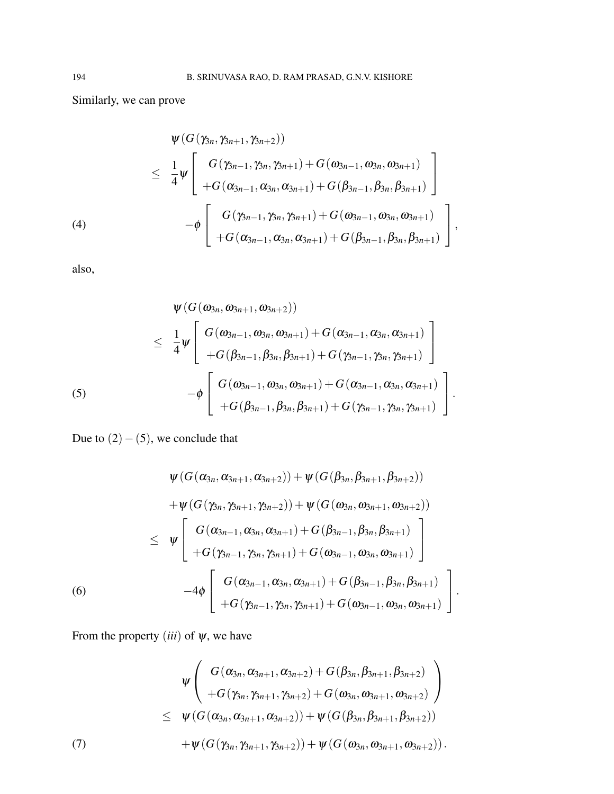Similarly, we can prove

$$
\psi(G(\gamma_{3n},\gamma_{3n+1},\gamma_{3n+2}))
$$
\n
$$
\leq \frac{1}{4}\psi \left[\begin{array}{c} G(\gamma_{3n-1},\gamma_{3n},\gamma_{3n+1}) + G(\omega_{3n-1},\omega_{3n},\omega_{3n+1}) \\ + G(\alpha_{3n-1},\alpha_{3n},\alpha_{3n+1}) + G(\beta_{3n-1},\beta_{3n},\beta_{3n+1}) \\ - \phi \left[\begin{array}{c} G(\gamma_{3n-1},\gamma_{3n},\gamma_{3n+1}) + G(\omega_{3n-1},\omega_{3n},\omega_{3n+1}) \\ + G(\alpha_{3n-1},\alpha_{3n},\alpha_{3n+1}) + G(\beta_{3n-1},\beta_{3n},\beta_{3n+1}) \end{array}\right],
$$

also,

$$
\psi(G(\omega_{3n}, \omega_{3n+1}, \omega_{3n+2}))
$$
\n
$$
\leq \frac{1}{4}\psi \left[\n G(\omega_{3n-1}, \omega_{3n}, \omega_{3n+1}) + G(\alpha_{3n-1}, \alpha_{3n}, \alpha_{3n+1}) + G(\beta_{3n-1}, \beta_{3n}, \beta_{3n+1}) + G(\gamma_{3n-1}, \gamma_{3n}, \gamma_{3n+1})\n - \phi \left[\n G(\omega_{3n-1}, \omega_{3n}, \omega_{3n+1}) + G(\alpha_{3n-1}, \alpha_{3n}, \alpha_{3n+1}) + G(\beta_{3n-1}, \beta_{3n}, \beta_{3n+1}) + G(\gamma_{3n-1}, \gamma_{3n}, \gamma_{3n+1})\n \right].
$$
\n(5)

Due to  $(2) - (5)$ , we conclude that

$$
\psi(G(\alpha_{3n}, \alpha_{3n+1}, \alpha_{3n+2})) + \psi(G(\beta_{3n}, \beta_{3n+1}, \beta_{3n+2}))
$$
  
+ 
$$
\psi(G(\gamma_{3n}, \gamma_{3n+1}, \gamma_{3n+2})) + \psi(G(\omega_{3n}, \omega_{3n+1}, \omega_{3n+2}))
$$
  

$$
\leq \psi \left[ G(\alpha_{3n-1}, \alpha_{3n}, \alpha_{3n+1}) + G(\beta_{3n-1}, \beta_{3n}, \beta_{3n+1}) + G(\gamma_{3n-1}, \gamma_{3n}, \gamma_{3n+1}) + G(\omega_{3n-1}, \omega_{3n}, \omega_{3n+1}) \right]
$$
  
(6)  
-4 $\phi \left[ G(\alpha_{3n-1}, \alpha_{3n}, \alpha_{3n+1}) + G(\beta_{3n-1}, \beta_{3n}, \beta_{3n+1}) + G(\gamma_{3n-1}, \gamma_{3n}, \gamma_{3n+1}) + G(\omega_{3n-1}, \omega_{3n}, \omega_{3n+1}) \right].$ 

From the property  $(iii)$  of  $\psi$ , we have

$$
\psi \left( G(\alpha_{3n}, \alpha_{3n+1}, \alpha_{3n+2}) + G(\beta_{3n}, \beta_{3n+1}, \beta_{3n+2}) + G(\gamma_{3n}, \gamma_{3n+1}, \gamma_{3n+2}) + G(\omega_{3n}, \omega_{3n+1}, \omega_{3n+2}) \right) \n\leq \psi (G(\alpha_{3n}, \alpha_{3n+1}, \alpha_{3n+2})) + \psi (G(\beta_{3n}, \beta_{3n+1}, \beta_{3n+2})) + \psi (G(\gamma_{3n}, \gamma_{3n+1}, \gamma_{3n+2})) + \psi (G(\omega_{3n}, \omega_{3n+1}, \omega_{3n+2})).
$$
\n(7)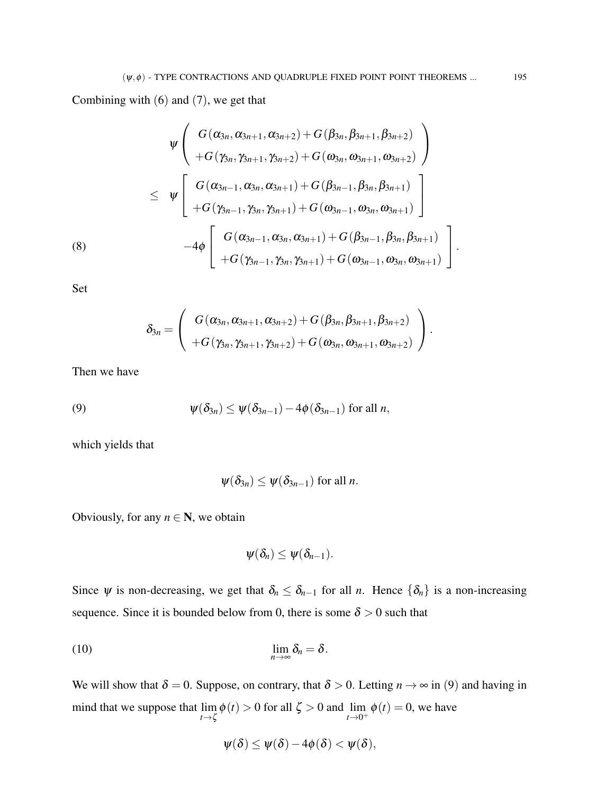Combining with (6) and (7), we get that

$$
\psi\left(\begin{array}{c}G(\alpha_{3n},\alpha_{3n+1},\alpha_{3n+2})+G(\beta_{3n},\beta_{3n+1},\beta_{3n+2})\\+G(\gamma_{3n},\gamma_{3n+1},\gamma_{3n+2})+G(\omega_{3n},\omega_{3n+1},\omega_{3n+2})\end{array}\right)\\ \leq\psi\left[\begin{array}{c}G(\alpha_{3n-1},\alpha_{3n},\alpha_{3n+1})+G(\beta_{3n-1},\beta_{3n},\beta_{3n+1})\\+G(\gamma_{3n-1},\gamma_{3n},\gamma_{3n+1})+G(\omega_{3n-1},\omega_{3n},\omega_{3n+1})\end{array}\right]\\-4\phi\left[\begin{array}{c}G(\alpha_{3n-1},\alpha_{3n},\alpha_{3n+1})+G(\beta_{3n-1},\beta_{3n},\beta_{3n+1})\\+G(\gamma_{3n-1},\gamma_{3n},\gamma_{3n+1})+G(\omega_{3n-1},\omega_{3n},\omega_{3n+1})\end{array}\right].
$$

Set

$$
\delta_{3n}=\left(\begin{array}{c}G(\alpha_{3n},\alpha_{3n+1},\alpha_{3n+2})+G(\beta_{3n},\beta_{3n+1},\beta_{3n+2})\\+G(\gamma_{3n},\gamma_{3n+1},\gamma_{3n+2})+G(\omega_{3n},\omega_{3n+1},\omega_{3n+2})\end{array}\right).
$$

Then we have

(9) 
$$
\psi(\delta_{3n}) \leq \psi(\delta_{3n-1}) - 4\phi(\delta_{3n-1}) \text{ for all } n,
$$

which yields that

$$
\psi(\delta_{3n}) \leq \psi(\delta_{3n-1})
$$
 for all *n*.

Obviously, for any  $n \in \mathbb{N}$ , we obtain

$$
\psi(\delta_n)\leq \psi(\delta_{n-1}).
$$

Since  $\psi$  is non-decreasing, we get that  $\delta_n \leq \delta_{n-1}$  for all *n*. Hence  $\{\delta_n\}$  is a non-increasing sequence. Since it is bounded below from 0, there is some  $\delta > 0$  such that

$$
\lim_{n\to\infty}\delta_n=\delta.
$$

We will show that  $\delta = 0$ . Suppose, on contrary, that  $\delta > 0$ . Letting  $n \to \infty$  in (9) and having in mind that we suppose that lim  $\lim_{t \to \zeta} \phi(t) > 0$  for all  $\zeta > 0$  and  $\lim_{t \to 0^+} \phi(t) = 0$ , we have

$$
\psi(\delta) \leq \psi(\delta) - 4\phi(\delta) < \psi(\delta),
$$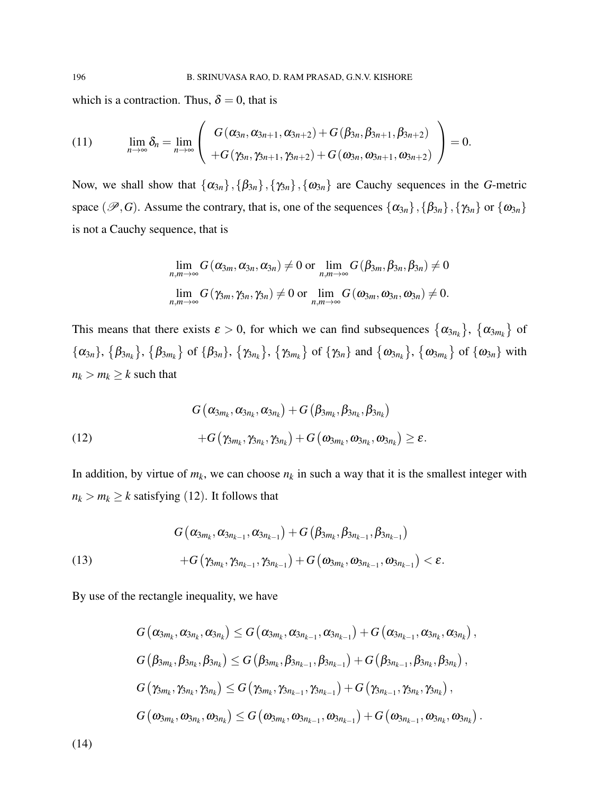which is a contraction. Thus,  $\delta = 0$ , that is

(11) 
$$
\lim_{n\to\infty} \delta_n = \lim_{n\to\infty} \left( \frac{G(\alpha_{3n}, \alpha_{3n+1}, \alpha_{3n+2}) + G(\beta_{3n}, \beta_{3n+1}, \beta_{3n+2})}{+G(\gamma_{3n}, \gamma_{3n+1}, \gamma_{3n+2}) + G(\omega_{3n}, \omega_{3n+1}, \omega_{3n+2})} \right) = 0.
$$

Now, we shall show that  $\{\alpha_{3n}\},\{\beta_{3n}\},\{\gamma_{3n}\},\{\omega_{3n}\}\$  are Cauchy sequences in the *G*-metric space  $(\mathscr{P}, G)$ . Assume the contrary, that is, one of the sequences  $\{\alpha_{3n}\}, \{\beta_{3n}\}, \{\gamma_{3n}\}$  or  $\{\omega_{3n}\}\$ is not a Cauchy sequence, that is

$$
\lim_{n,m\to\infty} G(\alpha_{3m},\alpha_{3n},\alpha_{3n}) \neq 0 \text{ or } \lim_{n,m\to\infty} G(\beta_{3m},\beta_{3n},\beta_{3n}) \neq 0
$$
  

$$
\lim_{n,m\to\infty} G(\gamma_{3m},\gamma_{3n},\gamma_{3n}) \neq 0 \text{ or } \lim_{n,m\to\infty} G(\omega_{3m},\omega_{3n},\omega_{3n}) \neq 0.
$$

This means that there exists  $\varepsilon > 0$ , for which we can find subsequences  $\{\alpha_{3n_k}\}, \{\alpha_{3m_k}\}\$  of  $\{\alpha_{3n}\}, \{\beta_{3n_k}\}, \{\beta_{3m_k}\}$  of  $\{\beta_{3n}\}, \{\gamma_{3n_k}\}, \{\gamma_{3m_k}\}$  of  $\{\gamma_{3n}\}\$  and  $\{\omega_{3n_k}\}, \{\omega_{3m_k}\}\$  of  $\{\omega_{3n}\}\$  with  $n_k > m_k \geq k$  such that

(12)  
\n
$$
G(\alpha_{3m_k}, \alpha_{3n_k}, \alpha_{3n_k}) + G(\beta_{3m_k}, \beta_{3n_k}, \beta_{3n_k})
$$
\n
$$
+ G(\gamma_{3m_k}, \gamma_{3n_k}, \gamma_{3n_k}) + G(\omega_{3m_k}, \omega_{3n_k}, \omega_{3n_k}) \ge \varepsilon.
$$

In addition, by virtue of  $m_k$ , we can choose  $n_k$  in such a way that it is the smallest integer with  $n_k > m_k \geq k$  satisfying (12). It follows that

$$
\begin{aligned} G\left(\alpha_{3m_k},\alpha_{3n_{k-1}},\alpha_{3n_{k-1}}\right)+G\left(\beta_{3m_k},\beta_{3n_{k-1}},\beta_{3n_{k-1}}\right)\\ +&G\left(\gamma_{3m_k},\gamma_{3n_{k-1}},\gamma_{3n_{k-1}}\right)+G\left(\omega_{3m_k},\omega_{3n_{k-1}},\omega_{3n_{k-1}}\right)<\epsilon. \end{aligned}
$$

By use of the rectangle inequality, we have

$$
G\left(\alpha_{3m_{k}},\alpha_{3n_{k}},\alpha_{3n_{k}}\right)\leq G\left(\alpha_{3m_{k}},\alpha_{3n_{k-1}},\alpha_{3n_{k-1}}\right)+G\left(\alpha_{3n_{k-1}},\alpha_{3n_{k}},\alpha_{3n_{k}}\right),
$$
  

$$
G\left(\beta_{3m_{k}},\beta_{3n_{k}},\beta_{3n_{k}}\right)\leq G\left(\beta_{3m_{k}},\beta_{3n_{k-1}},\beta_{3n_{k-1}}\right)+G\left(\beta_{3n_{k-1}},\beta_{3n_{k}},\beta_{3n_{k}}\right),
$$
  

$$
G\left(\gamma_{3m_{k}},\gamma_{3n_{k}},\gamma_{3n_{k}}\right)\leq G\left(\gamma_{3m_{k}},\gamma_{3n_{k-1}},\gamma_{3n_{k-1}}\right)+G\left(\gamma_{3n_{k-1}},\gamma_{3n_{k}},\gamma_{3n_{k}}\right),
$$
  

$$
G\left(\omega_{3m_{k}},\omega_{3n_{k}},\omega_{3n_{k}}\right)\leq G\left(\omega_{3m_{k}},\omega_{3n_{k-1}},\omega_{3n_{k-1}}\right)+G\left(\omega_{3n_{k-1}},\omega_{3n_{k}},\omega_{3n_{k}}\right).
$$

(14)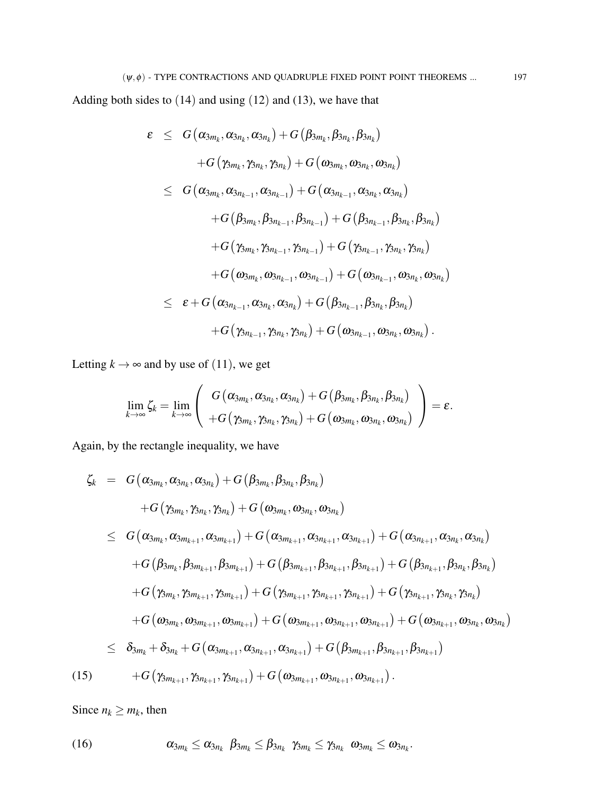Adding both sides to (14) and using (12) and (13), we have that

$$
\begin{array}{lcl} \varepsilon & \leq & G\left(\alpha_{3m_{k}},\alpha_{3n_{k}},\alpha_{3n_{k}}\right) + G\left(\beta_{3m_{k}},\beta_{3n_{k}},\beta_{3n_{k}}\right) \\ & & + G\left(\gamma_{3m_{k}},\gamma_{3n_{k}},\gamma_{3n_{k}}\right) + G\left(\omega_{3m_{k}},\omega_{3n_{k}},\omega_{3n_{k}}\right) \\ & \leq & G\left(\alpha_{3m_{k}},\alpha_{3n_{k-1}},\alpha_{3n_{k-1}}\right) + G\left(\alpha_{3n_{k-1}},\alpha_{3n_{k}},\alpha_{3n_{k}}\right) \\ & & + G\left(\beta_{3m_{k}},\beta_{3n_{k-1}},\beta_{3n_{k-1}}\right) + G\left(\beta_{3n_{k-1}},\beta_{3n_{k}},\beta_{3n_{k}}\right) \\ & & + G\left(\gamma_{3m_{k}},\gamma_{3n_{k-1}},\gamma_{3n_{k-1}}\right) + G\left(\gamma_{3n_{k-1}},\gamma_{3n_{k}},\gamma_{3n_{k}}\right) \\ & & + G\left(\omega_{3m_{k}},\omega_{3n_{k-1}},\omega_{3n_{k-1}}\right) + G\left(\omega_{3n_{k-1}},\omega_{3n_{k}},\omega_{3n_{k}}\right) \\ & & \leq & \varepsilon + G\left(\alpha_{3n_{k-1}},\alpha_{3n_{k}},\alpha_{3n_{k}}\right) + G\left(\beta_{3n_{k-1}},\beta_{3n_{k}},\beta_{3n_{k}}\right) \\ & & + G\left(\gamma_{3n_{k-1}},\gamma_{3n_{k}},\gamma_{3n_{k}}\right) + G\left(\omega_{3n_{k-1}},\omega_{3n_{k}},\omega_{3n_{k}}\right). \end{array}
$$

Letting  $k \to \infty$  and by use of (11), we get

$$
\lim_{k\rightarrow\infty}\zeta_{k}=\lim_{k\rightarrow\infty}\left(\begin{array}{c}G\left(\alpha_{3m_{k}},\alpha_{3n_{k}},\alpha_{3n_{k}}\right)+G\left(\beta_{3m_{k}},\beta_{3n_{k}},\beta_{3n_{k}}\right)\\+G\left(\gamma_{3m_{k}},\gamma_{3n_{k}},\gamma_{3n_{k}}\right)+G\left(\omega_{3m_{k}},\omega_{3n_{k}},\omega_{3n_{k}}\right)\end{array}\right)=\pmb{\varepsilon}.
$$

Again, by the rectangle inequality, we have

$$
\zeta_{k} = G(\alpha_{3m_{k}}, \alpha_{3n_{k}}, \alpha_{3n_{k}}) + G(\beta_{3m_{k}}, \beta_{3n_{k}}, \beta_{3n_{k}}) \n+ G(\gamma_{3m_{k}}, \gamma_{3n_{k}}, \gamma_{3n_{k}}) + G(\omega_{3m_{k}}, \omega_{3n_{k}}, \omega_{3n_{k}}) \n\leq G(\alpha_{3m_{k}}, \alpha_{3m_{k+1}}, \alpha_{3m_{k+1}}) + G(\alpha_{3m_{k+1}}, \alpha_{3n_{k+1}}, \alpha_{3n_{k+1}}) + G(\alpha_{3n_{k+1}}, \alpha_{3n_{k}}, \alpha_{3n_{k}}) \n+ G(\beta_{3m_{k}}, \beta_{3m_{k+1}}, \beta_{3m_{k+1}}) + G(\beta_{3m_{k+1}}, \beta_{3n_{k+1}}, \beta_{3n_{k+1}}) + G(\beta_{3n_{k+1}}, \beta_{3n_{k}}, \beta_{3n_{k}}) \n+ G(\gamma_{3m_{k}}, \gamma_{3m_{k+1}}, \gamma_{3m_{k+1}}) + G(\gamma_{3m_{k+1}}, \gamma_{3n_{k+1}}, \gamma_{3n_{k+1}}) + G(\gamma_{3n_{k+1}}, \gamma_{3n_{k}}, \gamma_{3n_{k}}) \n+ G(\omega_{3m_{k}}, \omega_{3m_{k+1}}, \omega_{3m_{k+1}}) + G(\omega_{3m_{k+1}}, \omega_{3n_{k+1}}, \omega_{3n_{k+1}}, \beta_{3n_{k+1}}) + G(\omega_{3n_{k+1}}, \omega_{3n_{k}}, \omega_{3n_{k}}) \n\leq \delta_{3m_{k}} + \delta_{3n_{k}} + G(\alpha_{3m_{k+1}}, \alpha_{3n_{k+1}}, \alpha_{3n_{k+1}}, \alpha_{3n_{k+1}}) + G(\beta_{3m_{k+1}}, \beta_{3n_{k+1}}, \beta_{3n_{k+1}})
$$
\n(15) 
$$
+ G(\gamma_{3m_{k+1}}, \gamma_{3n_{k+1}}, \gamma_{3n_{k+1}}) + G(\omega_{3m_{k+1}}, \omega_{3n_{k+1}}, \omega_{3n_{k+1}}).
$$

Since  $n_k \ge m_k$ , then

(16) 
$$
\alpha_{3m_k} \leq \alpha_{3n_k} \ \beta_{3m_k} \leq \beta_{3n_k} \ \gamma_{3m_k} \leq \gamma_{3n_k} \ \omega_{3m_k} \leq \omega_{3n_k}.
$$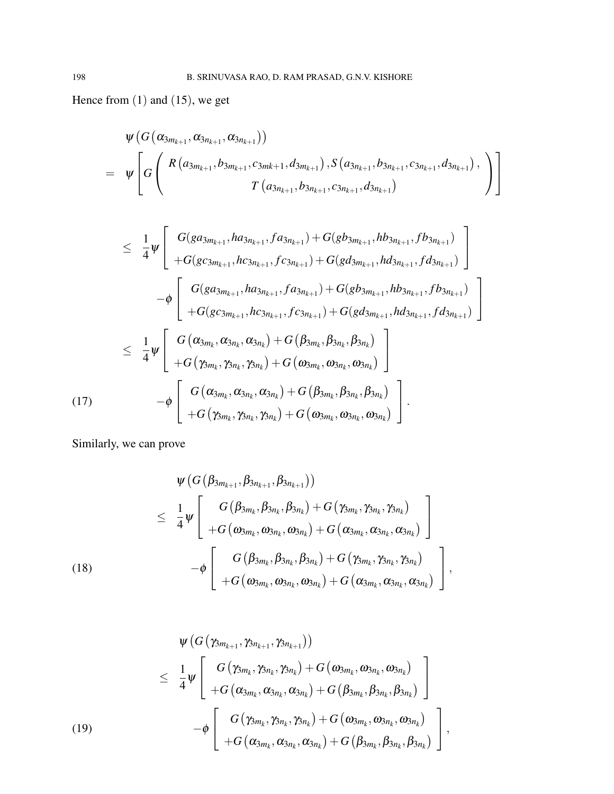Hence from (1) and (15), we get

$$
\psi\left(G\left(\alpha_{3m_{k+1}},\alpha_{3n_{k+1}},\alpha_{3n_{k+1}}\right)\right) \n= \psi\left[G\left(\begin{array}{c}R\left(a_{3m_{k+1}},b_{3m_{k+1}},c_{3mk+1},d_{3m_{k+1}}\right),S\left(a_{3n_{k+1}},b_{3n_{k+1}},c_{3n_{k+1}},d_{3n_{k+1}}\right),\\T\left(a_{3n_{k+1}},b_{3n_{k+1}},c_{3n_{k+1}},d_{3n_{k+1}}\right)\end{array}\right)\right]
$$

$$
\leq \frac{1}{4}\psi \left[ \begin{array}{l} G(ga_{3m_{k+1}},ha_{3n_{k+1}},fa_{3n_{k+1}}) + G(gb_{3m_{k+1}},hb_{3n_{k+1}},fb_{3n_{k+1}}) \\ + G(gc_{3m_{k+1}},hc_{3n_{k+1}},fc_{3n_{k+1}}) + G(gd_{3m_{k+1}},hd_{3n_{k+1}},fd_{3n_{k+1}}) \\ - \phi \left[ \begin{array}{l} G(ga_{3m_{k+1}},ha_{3n_{k+1}},fa_{3n_{k+1}}) + G(gb_{3m_{k+1}},hb_{3n_{k+1}},fb_{3n_{k+1}}) \\ + G(gc_{3m_{k+1}},hc_{3n_{k+1}},fc_{3n_{k+1}}) + G(gd_{3m_{k+1}},hd_{3n_{k+1}},fd_{3n_{k+1}}) \\ + G(gc_{3m_k},\alpha_{3n_k},\alpha_{3n_k}) + G(\beta_{3m_k},\beta_{3n_k},\beta_{3n_k}) \\ + G(\gamma_{3m_k},\gamma_{3n_k},\gamma_{3n_k}) + G(\omega_{3m_k},\omega_{3n_k},\omega_{3n_k}) \end{array} \right] \\ - \phi \left[ \begin{array}{l} G(\alpha_{3m_k},\alpha_{3n_k},\alpha_{3n_k}) + G(\beta_{3m_k},\beta_{3n_k},\beta_{3n_k}) \\ - G(\gamma_{3m_k},\alpha_{3n_k},\alpha_{3n_k}) + G(\beta_{3m_k},\beta_{3n_k},\beta_{3n_k}) \\ + G(\gamma_{3m_k},\gamma_{3n_k},\gamma_{3n_k}) + G(\omega_{3m_k},\omega_{3n_k},\omega_{3n_k}) \end{array} \right].
$$

Similarly, we can prove

$$
\psi\left(G\left(\beta_{3m_{k+1}},\beta_{3n_{k+1}},\beta_{3n_{k+1}}\right)\right) \n\leq \frac{1}{4}\psi\left[\begin{array}{c} G\left(\beta_{3m_{k}},\beta_{3n_{k}},\beta_{3n_{k}}\right)+G\left(\gamma_{3m_{k}},\gamma_{3n_{k}},\gamma_{3n_{k}}\right) \\ +G\left(\omega_{3m_{k}},\omega_{3n_{k}},\omega_{3n_{k}}\right)+G\left(\alpha_{3m_{k}},\alpha_{3n_{k}},\alpha_{3n_{k}}\right) \end{array}\right] \n(18) \qquad \qquad -\phi\left[\begin{array}{c} G\left(\beta_{3m_{k}},\beta_{3n_{k}},\beta_{3n_{k}}\right)+G\left(\gamma_{3m_{k}},\gamma_{3n_{k}},\gamma_{3n_{k}}\right) \\ +G\left(\omega_{3m_{k}},\omega_{3n_{k}},\omega_{3n_{k}}\right)+G\left(\alpha_{3m_{k}},\alpha_{3n_{k}},\alpha_{3n_{k}}\right) \end{array}\right],
$$

$$
\psi\left(G\left(\gamma_{3m_{k+1}},\gamma_{3n_{k+1}},\gamma_{3n_{k+1}}\right)\right) \n\leq \frac{1}{4}\psi\left[\begin{array}{c} G\left(\gamma_{3m_{k}},\gamma_{3n_{k}},\gamma_{3n_{k}}\right)+G\left(\omega_{3m_{k}},\omega_{3n_{k}},\omega_{3n_{k}}\right)\\+G\left(\alpha_{3m_{k}},\alpha_{3n_{k}},\alpha_{3n_{k}}\right)+G\left(\beta_{3m_{k}},\beta_{3n_{k}},\beta_{3n_{k}}\right)\\ -\phi\left[\begin{array}{c} G\left(\gamma_{3m_{k}},\gamma_{3n_{k}},\gamma_{3n_{k}}\right)+G\left(\omega_{3m_{k}},\omega_{3n_{k}},\omega_{3n_{k}}\right)\\ +G\left(\alpha_{3m_{k}},\alpha_{3n_{k}},\alpha_{3n_{k}}\right)+G\left(\beta_{3m_{k}},\beta_{3n_{k}},\beta_{3n_{k}}\right) \end{array}\right],
$$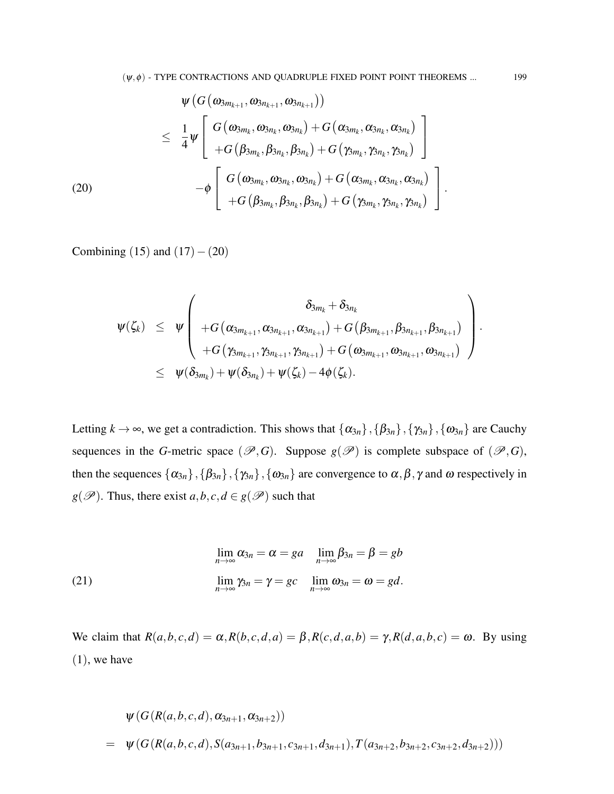$$
\psi\left(G\left(\omega_{3m_{k+1}},\omega_{3n_{k+1}},\omega_{3n_{k+1}}\right)\right) \n\leq \frac{1}{4}\psi\left[\begin{array}{c}G\left(\omega_{3m_{k}},\omega_{3n_{k}},\omega_{3n_{k}}\right)+G\left(\alpha_{3m_{k}},\alpha_{3n_{k}},\alpha_{3n_{k}}\right)\\+G\left(\beta_{3m_{k}},\beta_{3n_{k}},\beta_{3n_{k}}\right)+G\left(\gamma_{3m_{k}},\gamma_{3n_{k}},\gamma_{3n_{k}}\right)\\-\phi\left[\begin{array}{c}G\left(\omega_{3m_{k}},\omega_{3n_{k}},\omega_{3n_{k}}\right)+G\left(\alpha_{3m_{k}},\alpha_{3n_{k}},\alpha_{3n_{k}}\right)\\+G\left(\beta_{3m_{k}},\beta_{3n_{k}},\beta_{3n_{k}}\right)+G\left(\gamma_{3m_{k}},\gamma_{3n_{k}},\gamma_{3n_{k}}\right)\end{array}\right].
$$

Combining (15) and  $(17) - (20)$ 

$$
\begin{array}{lcl} \displaystyle & \psi(\zeta_k) & \leq & \displaystyle \psi\left( \begin{array}{cc} \delta_{3m_k} + \delta_{3n_k} \\[1ex] + G\left(\alpha_{3m_{k+1}}, \alpha_{3n_{k+1}}, \alpha_{3n_{k+1}}\right) + G\left(\beta_{3m_{k+1}}, \beta_{3n_{k+1}}, \beta_{3n_{k+1}}\right) \\[1ex] + G\left(\gamma_{3m_{k+1}}, \gamma_{3n_{k+1}}, \gamma_{3n_{k+1}}\right) + G\left(\omega_{3m_{k+1}}, \omega_{3n_{k+1}}, \omega_{3n_{k+1}}\right) \end{array} \right). \\[1ex] & \leq & \displaystyle \psi(\delta_{3m_k}) + \psi(\delta_{3n_k}) + \psi(\zeta_k) - 4\phi(\zeta_k). \end{array}
$$

Letting  $k \to \infty$ , we get a contradiction. This shows that  $\{\alpha_{3n}\},\{\beta_{3n}\},\{\gamma_{3n}\},\{\omega_{3n}\}\$  are Cauchy sequences in the *G*-metric space ( $\mathscr{P}, G$ ). Suppose  $g(\mathscr{P})$  is complete subspace of ( $\mathscr{P}, G$ ), then the sequences  $\{\alpha_{3n}\},\{\beta_{3n}\},\{\gamma_{3n}\},\{\omega_{3n}\}\$  are convergence to  $\alpha,\beta,\gamma$  and  $\omega$  respectively in *g*( $\mathcal{P}$ ). Thus, there exist *a*,*b*, *c*, *d*  $\in$  *g*( $\mathcal{P}$ ) such that

(21) 
$$
\lim_{n \to \infty} \alpha_{3n} = \alpha = ga \quad \lim_{n \to \infty} \beta_{3n} = \beta = gb
$$

$$
\lim_{n \to \infty} \gamma_{3n} = \gamma = gc \quad \lim_{n \to \infty} \omega_{3n} = \omega = gd.
$$

We claim that  $R(a,b,c,d) = \alpha, R(b,c,d,a) = \beta, R(c,d,a,b) = \gamma, R(d,a,b,c) = \omega$ . By using  $(1)$ , we have

$$
\psi(G(R(a,b,c,d),\alpha_{3n+1},\alpha_{3n+2}))
$$
  
=  $\psi(G(R(a,b,c,d),S(a_{3n+1},b_{3n+1},c_{3n+1},d_{3n+1}),T(a_{3n+2},b_{3n+2},c_{3n+2},d_{3n+2})))$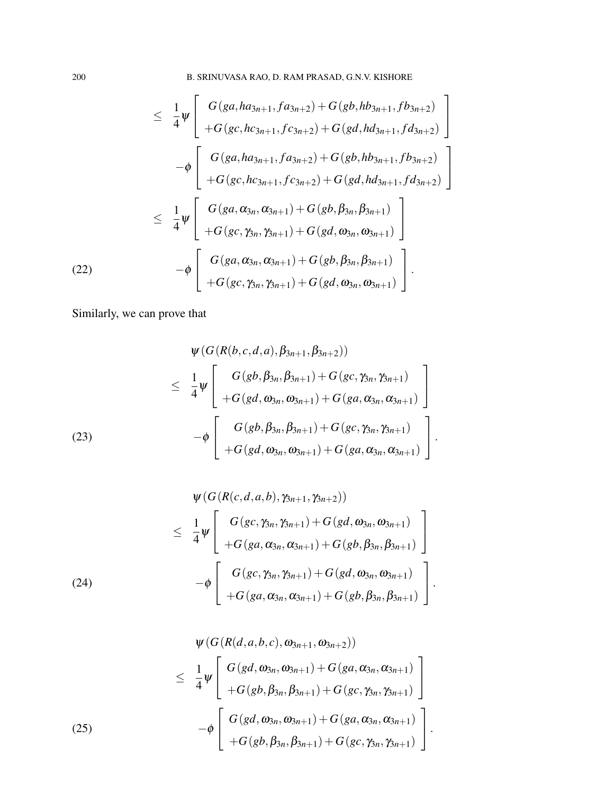$$
\leq \frac{1}{4}\psi \left[ \begin{array}{c} G(ga,ha_{3n+1},fa_{3n+2}) + G(gb,hb_{3n+1},fb_{3n+2}) \\ + G(gc,hc_{3n+1},fc_{3n+2}) + G(gd,hd_{3n+1},fd_{3n+2}) \end{array} \right] \n- \phi \left[ \begin{array}{c} G(ga,ha_{3n+1},fc_{3n+2}) + G(gb,hb_{3n+1},fd_{3n+2}) \\ + G(gc,hc_{3n+1},fc_{3n+2}) + G(gd,hd_{3n+1},fd_{3n+2}) \end{array} \right] \n\leq \frac{1}{4}\psi \left[ \begin{array}{c} G(ga,\alpha_{3n},\alpha_{3n+1}) + G(gb,\beta_{3n},\beta_{3n+1}) \\ + G(gc,\gamma_{3n},\gamma_{3n+1}) + G(gd,\omega_{3n},\omega_{3n+1}) \end{array} \right] \n- \phi \left[ \begin{array}{c} G(ga,\alpha_{3n},\alpha_{3n+1}) + G(gb,\beta_{3n},\beta_{3n+1}) \\ + G(gc,\gamma_{3n},\gamma_{3n+1}) + G(gd,\omega_{3n},\omega_{3n+1}) \end{array} \right].
$$
\n(22)

Similarly, we can prove that

(23)  
\n
$$
\psi(G(R(b,c,d,a), \beta_{3n+1}, \beta_{3n+2}))
$$
\n
$$
\leq \frac{1}{4} \psi \left[ G(gb, \beta_{3n}, \beta_{3n+1}) + G(gc, \gamma_{3n}, \gamma_{3n+1}) + G(ga, \alpha_{3n}, \alpha_{3n+1}) \right]
$$
\n
$$
- \phi \left[ G(gb, \beta_{3n}, \beta_{3n+1}) + G(gc, \gamma_{3n}, \gamma_{3n+1}) + G(gc, \gamma_{3n}, \gamma_{3n+1}) + G(gd, \alpha_{3n}, \alpha_{3n+1}) \right].
$$

(24)  

$$
\psi(G(R(c,d,a,b), \gamma_{3n+1}, \gamma_{3n+2}))
$$

$$
\leq \frac{1}{4} \psi \left[ \frac{G(gc, \gamma_{3n}, \gamma_{3n+1}) + G(gd, \omega_{3n}, \omega_{3n+1})}{+G(ga, \alpha_{3n}, \alpha_{3n+1}) + G(gb, \beta_{3n}, \beta_{3n+1})} \right]
$$

$$
-\phi \left[ \frac{G(gc, \gamma_{3n}, \gamma_{3n+1}) + G(gd, \omega_{3n}, \omega_{3n+1})}{+G(ga, \alpha_{3n}, \alpha_{3n+1}) + G(gb, \beta_{3n}, \beta_{3n+1})} \right].
$$

(25)  
\n
$$
\psi(G(R(d, a, b, c), \omega_{3n+1}, \omega_{3n+2}))
$$
\n
$$
\leq \frac{1}{4} \psi \left[ G(gd, \omega_{3n}, \omega_{3n+1}) + G(ga, \alpha_{3n}, \alpha_{3n+1}) + G(gc, \gamma_{3n}, \gamma_{3n+1}) \right] + G(gb, \beta_{3n}, \beta_{3n+1}) + G(ga, \alpha_{3n}, \alpha_{3n+1}) - \phi \left[ G(gd, \omega_{3n}, \omega_{3n+1}) + G(ga, \alpha_{3n}, \alpha_{3n+1}) + G(gc, \gamma_{3n}, \gamma_{3n+1}) \right].
$$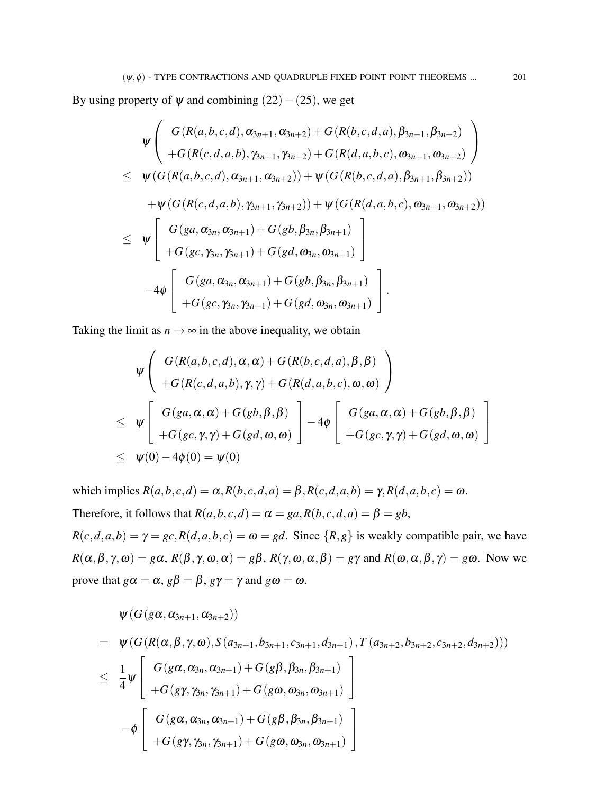By using property of  $\psi$  and combining (22) – (25), we get

$$
\psi\left(\begin{array}{c} G(R(a,b,c,d),\alpha_{3n+1},\alpha_{3n+2})+G(R(b,c,d,a),\beta_{3n+1},\beta_{3n+2})\\+G(R(c,d,a,b),\gamma_{3n+1},\gamma_{3n+2})+G(R(d,a,b,c),\omega_{3n+1},\omega_{3n+2})\end{array}\right)
$$
\n
$$
\leq \psi(G(R(a,b,c,d),\alpha_{3n+1},\alpha_{3n+2}))+\psi(G(R(b,c,d,a),\beta_{3n+1},\beta_{3n+2}))\\+\psi(G(R(c,d,a,b),\gamma_{3n+1},\gamma_{3n+2}))+\psi(G(R(d,a,b,c),\omega_{3n+1},\omega_{3n+2}))\\ \leq \psi\left[\begin{array}{c} G(ga,\alpha_{3n},\alpha_{3n+1})+G(gb,\beta_{3n},\beta_{3n+1})\\+G(gc,\gamma_{3n},\gamma_{3n+1})+G(gd,\omega_{3n},\omega_{3n+1})\\+G(gc,\gamma_{3n},\gamma_{3n+1})+G(gb,\beta_{3n},\beta_{3n+1})\\+G(gc,\gamma_{3n},\gamma_{3n+1})+G(gd,\omega_{3n},\omega_{3n+1})\end{array}\right].
$$

Taking the limit as  $n \to \infty$  in the above inequality, we obtain

$$
\psi \left( \begin{array}{c} G(R(a,b,c,d),\alpha,\alpha) + G(R(b,c,d,a),\beta,\beta) \\ + G(R(c,d,a,b),\gamma,\gamma) + G(R(d,a,b,c),\omega,\omega) \end{array} \right)
$$
\n
$$
\leq \psi \left[ \begin{array}{c} G(ga,\alpha,\alpha) + G(gb,\beta,\beta) \\ + G(gc,\gamma,\gamma) + G(gd,\omega,\omega) \end{array} \right] - 4\phi \left[ \begin{array}{c} G(ga,\alpha,\alpha) + G(gb,\beta,\beta) \\ + G(gc,\gamma,\gamma) + G(gd,\omega,\omega) \end{array} \right]
$$
\n
$$
\leq \psi(0) - 4\phi(0) = \psi(0)
$$

which implies  $R(a,b,c,d) = \alpha$ ,  $R(b,c,d,a) = \beta$ ,  $R(c,d,a,b) = \gamma$ ,  $R(d,a,b,c) = \omega$ . Therefore, it follows that  $R(a, b, c, d) = \alpha = ga, R(b, c, d, a) = \beta = gb$ ,

 $R(c,d,a,b) = \gamma = gc, R(d,a,b,c) = \omega = gd$ . Since  $\{R,g\}$  is weakly compatible pair, we have  $R(\alpha, \beta, \gamma, \omega) = g\alpha$ ,  $R(\beta, \gamma, \omega, \alpha) = g\beta$ ,  $R(\gamma, \omega, \alpha, \beta) = g\gamma$  and  $R(\omega, \alpha, \beta, \gamma) = g\omega$ . Now we prove that  $g\alpha = \alpha$ ,  $g\beta = \beta$ ,  $g\gamma = \gamma$  and  $g\omega = \omega$ .

$$
\psi(G(g\alpha,\alpha_{3n+1},\alpha_{3n+2}))
$$
\n
$$
= \psi(G(R(\alpha,\beta,\gamma,\omega),S(a_{3n+1},b_{3n+1},c_{3n+1},d_{3n+1}),T(a_{3n+2},b_{3n+2},c_{3n+2},d_{3n+2})))
$$
\n
$$
\leq \frac{1}{4}\psi \left[\begin{array}{c} G(g\alpha,\alpha_{3n},\alpha_{3n+1})+G(g\beta,\beta_{3n},\beta_{3n+1})\\+G(g\gamma,\gamma_{3n},\gamma_{3n+1})+G(g\omega,\omega_{3n},\omega_{3n+1})\end{array}\right]
$$
\n
$$
-\phi \left[\begin{array}{c} G(g\alpha,\alpha_{3n},\alpha_{3n+1})+G(g\beta,\beta_{3n},\beta_{3n+1})\\+G(g\gamma,\gamma_{3n},\gamma_{3n+1})+G(g\omega,\omega_{3n},\omega_{3n+1})\end{array}\right]
$$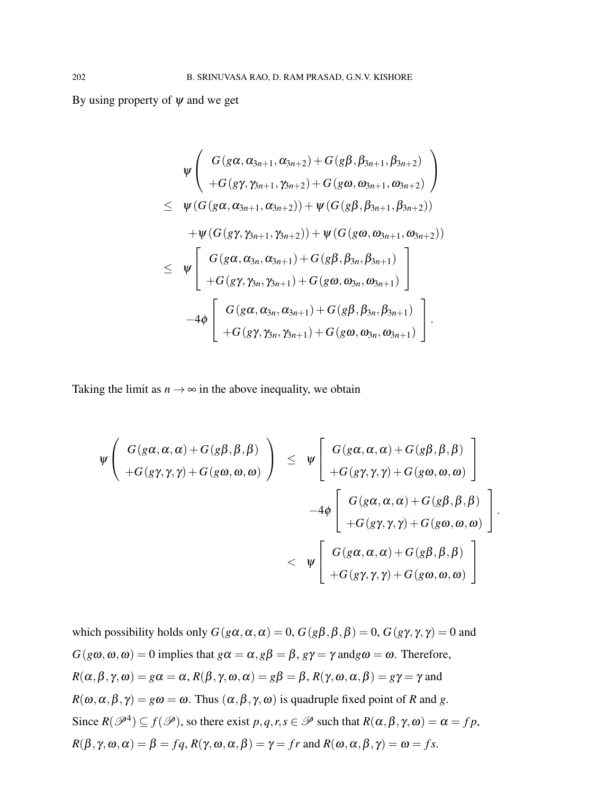By using property of  $\psi$  and we get

$$
\psi\left(\begin{array}{c}G(g\alpha,\alpha_{3n+1},\alpha_{3n+2})+G(g\beta,\beta_{3n+1},\beta_{3n+2})\\+G(g\gamma,\gamma_{3n+1},\gamma_{3n+2})+G(g\omega,\omega_{3n+1},\omega_{3n+2})\end{array}\right)\\ \leq\;\;\psi(G(g\alpha,\alpha_{3n+1},\alpha_{3n+2}))+\psi(G(g\beta,\beta_{3n+1},\beta_{3n+2}))\\+\psi(G(g\gamma,\gamma_{3n+1},\gamma_{3n+2}))+\psi(G(g\omega,\omega_{3n+1},\omega_{3n+2}))\\ \leq\;\;\psi\left[\begin{array}{c}G(g\alpha,\alpha_{3n},\alpha_{3n+1})+G(g\beta,\beta_{3n},\beta_{3n+1})\\+G(g\gamma,\gamma_{3n},\gamma_{3n+1})+G(g\omega,\omega_{3n},\omega_{3n+1})\end{array}\right]\\-4\phi\left[\begin{array}{c}G(g\alpha,\alpha_{3n},\alpha_{3n+1})+G(g\beta,\beta_{3n},\beta_{3n+1})\\+G(g\gamma,\gamma_{3n},\gamma_{3n+1})+G(g\omega,\omega_{3n},\omega_{3n+1})\end{array}\right].
$$

Taking the limit as  $n \to \infty$  in the above inequality, we obtain

$$
\begin{array}{lcl} \psi\left( \begin{array}{c} G(g\alpha,\alpha,\alpha)+G(g\beta,\beta,\beta) \\ +G(g\gamma,\gamma,\gamma)+G(g\omega,\omega,\omega) \end{array} \right) & \leq & \psi\left[ \begin{array}{c} G(g\alpha,\alpha,\alpha)+G(g\beta,\beta,\beta) \\ +G(g\gamma,\gamma,\gamma)+G(g\omega,\omega,\omega) \end{array} \right] \\ & & \\ & & \\ & & \\ & & \\ & & \\ & & \\ & & \\ & & \\ & & \\ & & \\ & & \\ \end{array} \hspace{3.8cm} \left[ \begin{array}{c} G(g\alpha,\alpha,\alpha)+G(g\beta,\beta,\beta) \\ +G(g\gamma,\gamma,\gamma)+G(g\omega,\omega,\omega) \end{array} \right]. \end{array}
$$

which possibility holds only  $G(g\alpha, \alpha, \alpha) = 0$ ,  $G(g\beta, \beta, \beta) = 0$ ,  $G(g\gamma, \gamma, \gamma) = 0$  and  $G(g\omega,\omega,\omega) = 0$  implies that  $g\alpha = \alpha$ ,  $g\beta = \beta$ ,  $g\gamma = \gamma$  and  $g\omega = \omega$ . Therefore,  $R(\alpha, \beta, \gamma, \omega) = g\alpha = \alpha$ ,  $R(\beta, \gamma, \omega, \alpha) = g\beta = \beta$ ,  $R(\gamma, \omega, \alpha, \beta) = g\gamma = \gamma$  and  $R(\omega, \alpha, \beta, \gamma) = g\omega = \omega$ . Thus  $(\alpha, \beta, \gamma, \omega)$  is quadruple fixed point of *R* and *g*. Since  $R(\mathscr{P}^4) \subseteq f(\mathscr{P})$ , so there exist  $p, q, r, s \in \mathscr{P}$  such that  $R(\alpha, \beta, \gamma, \omega) = \alpha = fp$ ,  $R(\beta, \gamma, \omega, \alpha) = \beta = fq, R(\gamma, \omega, \alpha, \beta) = \gamma = fr$  and  $R(\omega, \alpha, \beta, \gamma) = \omega = fs$ .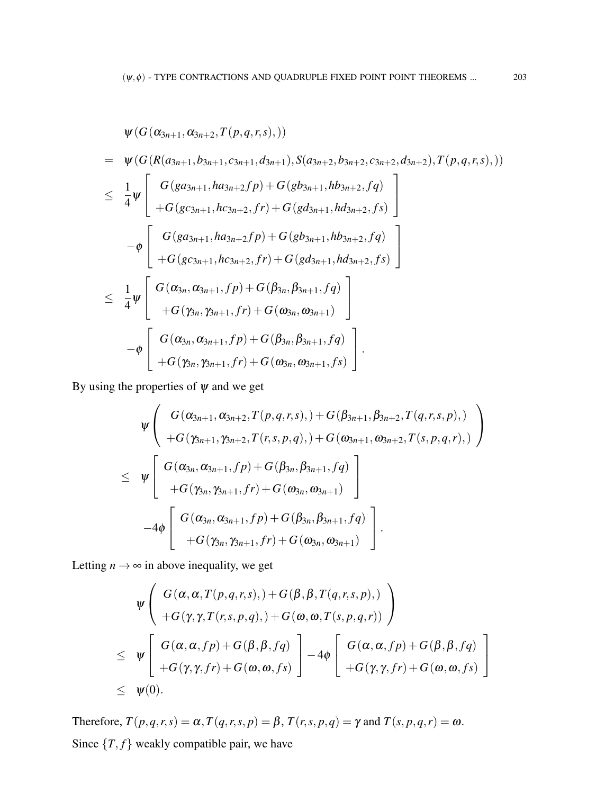$$
\psi(G(\alpha_{3n+1}, \alpha_{3n+2}, T(p,q,r,s),)))
$$
\n
$$
= \psi(G(R(a_{3n+1}, b_{3n+1}, c_{3n+1}, d_{3n+1}), S(a_{3n+2}, b_{3n+2}, c_{3n+2}, d_{3n+2}), T(p,q,r,s),)))
$$
\n
$$
\leq \frac{1}{4}\psi \left[ \begin{array}{c} G(ga_{3n+1}, ha_{3n+2}fp) + G(gb_{3n+1}, hb_{3n+2}, fg) \\ + G(gc_{3n+1}, hc_{3n+2}, fr) + G(gd_{3n+1}, hd_{3n+2}, fs) \end{array} \right]
$$
\n
$$
-\phi \left[ \begin{array}{c} G(ga_{3n+1}, ha_{3n+2}fp) + G(gb_{3n+1}, hb_{3n+2}, fg) \\ + G(gc_{3n+1}, hc_{3n+2}, fr) + G(gd_{3n+1}, hd_{3n+2}, fs) \end{array} \right]
$$
\n
$$
\leq \frac{1}{4}\psi \left[ \begin{array}{c} G(\alpha_{3n}, \alpha_{3n+1}, fp) + G(\beta_{3n}, \beta_{3n+1}, fq) \\ + G(\gamma_{3n}, \gamma_{3n+1}, fp) + G(\beta_{3n}, \beta_{3n+1}, fq) \\ + G(\gamma_{3n}, \gamma_{3n+1}, fp) + G(\beta_{3n}, \beta_{3n+1}, fq) \\ + G(\gamma_{3n}, \gamma_{3n+1}, fp) + G(\alpha_{3n}, \alpha_{3n+1}, fs) \end{array} \right].
$$

By using the properties of  $\psi$  and we get

$$
\psi \left( \begin{array}{c} G(\alpha_{3n+1}, \alpha_{3n+2}, T(p,q,r,s), ) + G(\beta_{3n+1}, \beta_{3n+2}, T(q,r,s,p), ) \\ + G(\gamma_{3n+1}, \gamma_{3n+2}, T(r,s,p,q), ) + G(\omega_{3n+1}, \omega_{3n+2}, T(s,p,q,r), ) \\ \times \; & \psi \left[ \begin{array}{c} G(\alpha_{3n}, \alpha_{3n+1}, fp) + G(\beta_{3n}, \beta_{3n+1}, fq) \\ + G(\gamma_{3n}, \gamma_{3n+1}, fr) + G(\omega_{3n}, \omega_{3n+1}) \end{array} \right] \\ - 4\phi \left[ \begin{array}{c} G(\alpha_{3n}, \alpha_{3n+1}, fp) + G(\beta_{3n}, \beta_{3n+1}, fq) \\ + G(\gamma_{3n}, \gamma_{3n+1}, fr) + G(\omega_{3n}, \omega_{3n+1}) \end{array} \right]. \end{array}
$$

Letting  $n \rightarrow \infty$  in above inequality, we get

$$
\psi\left(\begin{array}{c} G(\alpha,\alpha,T(p,q,r,s),)+G(\beta,\beta,T(q,r,s,p),) \\ +G(\gamma,\gamma,T(r,s,p,q),)+G(\omega,\omega,T(s,p,q,r)) \end{array}\right) \n\leq \psi\left[\begin{array}{c} G(\alpha,\alpha,fp)+G(\beta,\beta,fq) \\ +G(\gamma,\gamma,fr)+G(\omega,\omega,fs) \end{array}\right] - 4\phi\left[\begin{array}{c} G(\alpha,\alpha,fp)+G(\beta,\beta,fq) \\ +G(\gamma,\gamma,fr)+G(\omega,\omega,fs) \end{array}\right] \n\leq \psi(0).
$$

Therefore,  $T(p,q,r,s) = \alpha$ ,  $T(q,r,s,p) = \beta$ ,  $T(r,s,p,q) = \gamma$  and  $T(s,p,q,r) = \omega$ . Since  ${T, f}$  weakly compatible pair, we have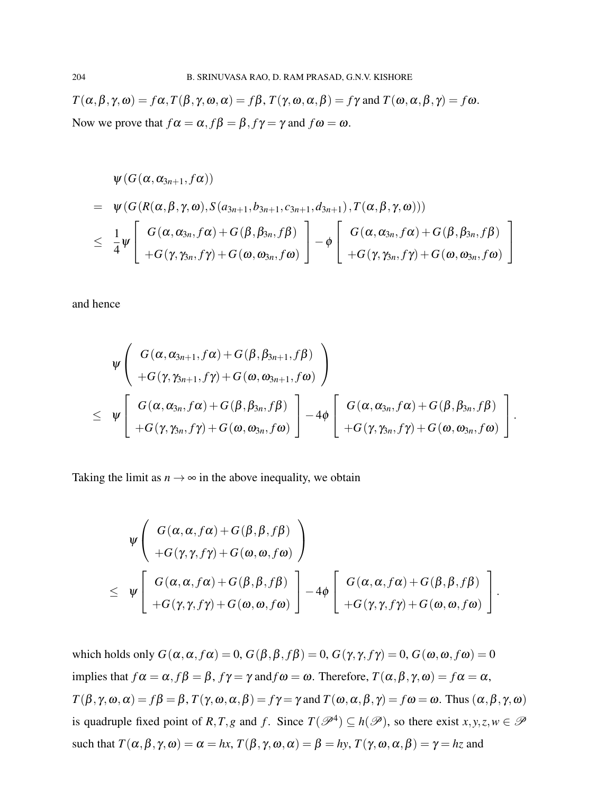$T(\alpha, \beta, \gamma, \omega) = f\alpha, T(\beta, \gamma, \omega, \alpha) = f\beta, T(\gamma, \omega, \alpha, \beta) = f\gamma$  and  $T(\omega, \alpha, \beta, \gamma) = f\omega$ . Now we prove that  $f\alpha = \alpha$ ,  $f\beta = \beta$ ,  $f\gamma = \gamma$  and  $f\omega = \omega$ .

$$
\psi(G(\alpha,\alpha_{3n+1},f\alpha))
$$
\n
$$
= \psi(G(R(\alpha,\beta,\gamma,\omega),S(a_{3n+1},b_{3n+1},c_{3n+1},d_{3n+1}),T(\alpha,\beta,\gamma,\omega)))
$$
\n
$$
\leq \frac{1}{4}\psi\left[\begin{array}{c} G(\alpha,\alpha_{3n},f\alpha)+G(\beta,\beta_{3n},f\beta)\\+G(\gamma,\gamma_{3n},f\gamma)+G(\omega,\omega_{3n},f\omega)\end{array}\right]-\phi\left[\begin{array}{c} G(\alpha,\alpha_{3n},f\alpha)+G(\beta,\beta_{3n},f\beta)\\+G(\gamma,\gamma_{3n},f\gamma)+G(\omega,\omega_{3n},f\omega)\end{array}\right]
$$

and hence

$$
\begin{array}{l}\n\psi \left( \begin{array}{c}\nG(\alpha,\alpha_{3n+1},f\alpha)+G(\beta,\beta_{3n+1},f\beta) \\
+G(\gamma,\gamma_{3n+1},f\gamma)+G(\omega,\omega_{3n+1},f\omega)\n\end{array}\right) \\
\leq \psi \left[ \begin{array}{c}\nG(\alpha,\alpha_{3n},f\alpha)+G(\beta,\beta_{3n},f\beta) \\
+G(\gamma,\gamma_{3n},f\gamma)+G(\omega,\omega_{3n},f\omega)\n\end{array}\right] -4\phi \left[ \begin{array}{c}\nG(\alpha,\alpha_{3n},f\alpha)+G(\beta,\beta_{3n},f\beta) \\
+G(\gamma,\gamma_{3n},f\gamma)+G(\omega,\omega_{3n},f\omega)\n\end{array}\right].\n\end{array}
$$

Taking the limit as  $n \to \infty$  in the above inequality, we obtain

$$
\begin{array}{l}\n\psi \left( \begin{array}{c}\nG(\alpha, \alpha, f\alpha) + G(\beta, \beta, f\beta) \\
+ G(\gamma, \gamma, f\gamma) + G(\omega, \omega, f\omega)\n\end{array}\right) \\
\leq \psi \left[ \begin{array}{c}\nG(\alpha, \alpha, f\alpha) + G(\beta, \beta, f\beta) \\
+ G(\gamma, \gamma, f\gamma) + G(\omega, \omega, f\omega)\n\end{array}\right] - 4\phi \left[ \begin{array}{c}\nG(\alpha, \alpha, f\alpha) + G(\beta, \beta, f\beta) \\
+ G(\gamma, \gamma, f\gamma) + G(\omega, \omega, f\omega)\n\end{array}\right].\n\end{array}
$$

which holds only  $G(\alpha, \alpha, f\alpha) = 0$ ,  $G(\beta, \beta, f\beta) = 0$ ,  $G(\gamma, \gamma, f\gamma) = 0$ ,  $G(\omega, \omega, f\omega) = 0$ implies that  $f\alpha = \alpha$ ,  $f\beta = \beta$ ,  $f\gamma = \gamma$  and  $f\omega = \omega$ . Therefore,  $T(\alpha, \beta, \gamma, \omega) = f\alpha = \alpha$ ,  $T(\beta, \gamma, \omega, \alpha) = f\beta = \beta$ ,  $T(\gamma, \omega, \alpha, \beta) = f\gamma = \gamma$  and  $T(\omega, \alpha, \beta, \gamma) = f\omega = \omega$ . Thus  $(\alpha, \beta, \gamma, \omega)$ is quadruple fixed point of *R*, *T*, *g* and *f*. Since  $T(\mathscr{P}^4) \subseteq h(\mathscr{P})$ , so there exist  $x, y, z, w \in \mathscr{P}$ such that  $T(\alpha, \beta, \gamma, \omega) = \alpha = hx$ ,  $T(\beta, \gamma, \omega, \alpha) = \beta = hy$ ,  $T(\gamma, \omega, \alpha, \beta) = \gamma = hz$  and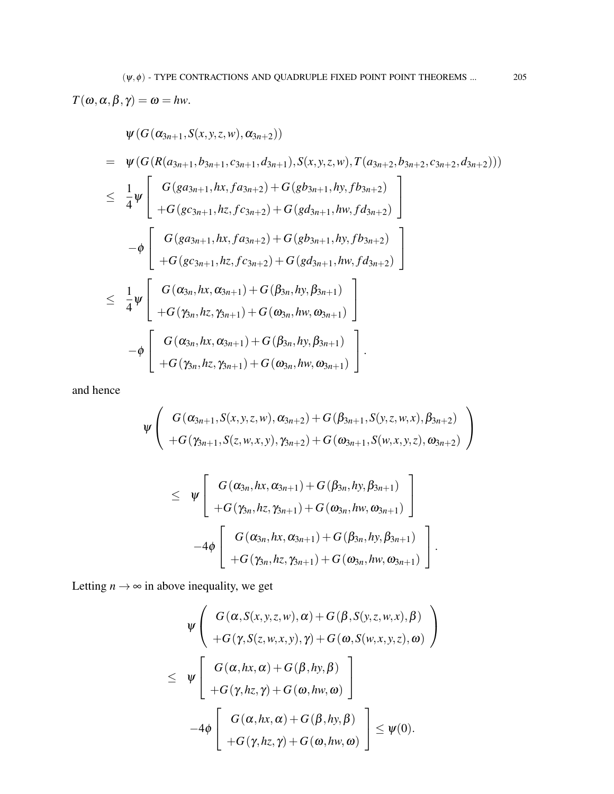$T(\omega, \alpha, \beta, \gamma) = \omega = hw.$ 

$$
\psi(G(\alpha_{3n+1},S(x,y,z,w),\alpha_{3n+2}))
$$
\n
$$
= \psi(G(R(a_{3n+1},b_{3n+1},c_{3n+1},d_{3n+1}),S(x,y,z,w),T(a_{3n+2},b_{3n+2},c_{3n+2},d_{3n+2})))
$$
\n
$$
\leq \frac{1}{4}\psi \left[ \begin{array}{c} G(ga_{3n+1},hx,fa_{3n+2}) + G(gb_{3n+1},hy,fb_{3n+2}) \\ + G(gc_{3n+1},hz,fc_{3n+2}) + G(gd_{3n+1},hw,fd_{3n+2}) \\ + G(gc_{3n+1},hx,fa_{3n+2}) + G(gb_{3n+1},hy,fb_{3n+2}) \\ + G(gc_{3n+1},hz,fc_{3n+2}) + G(gd_{3n+1},hw,fd_{3n+2}) \end{array} \right]
$$
\n
$$
\leq \frac{1}{4}\psi \left[ \begin{array}{c} G(\alpha_{3n},hx,\alpha_{3n+1}) + G(\beta_{3n},hy,\beta_{3n+1}) \\ + G(\gamma_{3n},hx, \gamma_{3n+1}) + G(\alpha_{3n},hw, \omega_{3n+1}) \\ + G(\gamma_{3n},hx, \gamma_{3n+1}) + G(\beta_{3n},hy,\beta_{3n+1}) \\ + G(\gamma_{3n},hx, \gamma_{3n+1}) + G(\omega_{3n},hw, \omega_{3n+1}) \end{array} \right].
$$

and hence

$$
\psi \left( G(\alpha_{3n+1}, S(x, y, z, w), \alpha_{3n+2}) + G(\beta_{3n+1}, S(y, z, w, x), \beta_{3n+2}) + G(\gamma_{3n+1}, S(z, w, x, y), \gamma_{3n+2}) + G(\omega_{3n+1}, S(w, x, y, z), \omega_{3n+2}) \right)
$$

$$
\leq \psi \left[ \begin{array}{c} G(\alpha_{3n},hx,\alpha_{3n+1}) + G(\beta_{3n},hy,\beta_{3n+1}) \\[1mm] + G(\gamma_{3n},hz,\gamma_{3n+1}) + G(\omega_{3n},hw,\omega_{3n+1}) \\[1mm] -4\phi \left[ \begin{array}{c} G(\alpha_{3n},hx,\alpha_{3n+1}) + G(\beta_{3n},hy,\beta_{3n+1}) \\[1mm] + G(\gamma_{3n},hz,\gamma_{3n+1}) + G(\omega_{3n},hw,\omega_{3n+1}) \end{array} \right]. \end{array} \right]
$$

Letting  $n \to \infty$  in above inequality, we get

$$
\Psi\left(\n\begin{array}{c}\nG(\alpha, S(x, y, z, w), \alpha) + G(\beta, S(y, z, w, x), \beta) \\
+ G(\gamma, S(z, w, x, y), \gamma) + G(\omega, S(w, x, y, z), \omega)\n\end{array}\n\right)
$$
\n
$$
\leq \Psi\left[\n\begin{array}{c}\nG(\alpha, hx, \alpha) + G(\beta, hy, \beta) \\
+ G(\gamma, hz, \gamma) + G(\omega, hw, \omega)\n\end{array}\n\right]
$$
\n
$$
-4\phi\left[\n\begin{array}{c}\nG(\alpha, hx, \alpha) + G(\beta, hy, \beta) \\
+ G(\gamma, hz, \gamma) + G(\omega, hw, \omega)\n\end{array}\n\right] \leq \psi(0).
$$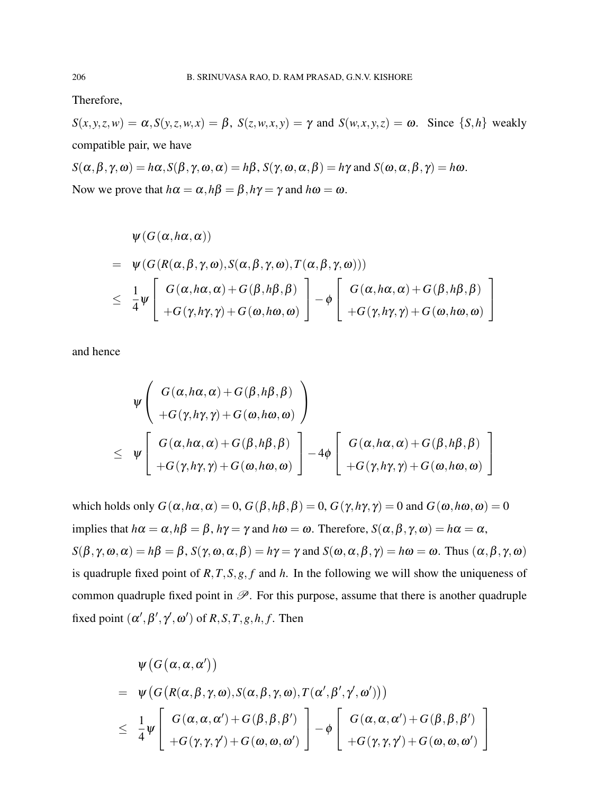Therefore,

 $S(x, y, z, w) = \alpha$ ,  $S(y, z, w, x) = \beta$ ,  $S(z, w, x, y) = \gamma$  and  $S(w, x, y, z) = \omega$ . Since  $\{S, h\}$  weakly compatible pair, we have

 $S(\alpha, \beta, \gamma, \omega) = h\alpha$ ,  $S(\beta, \gamma, \omega, \alpha) = h\beta$ ,  $S(\gamma, \omega, \alpha, \beta) = h\gamma$  and  $S(\omega, \alpha, \beta, \gamma) = h\omega$ . Now we prove that  $h\alpha = \alpha$ ,  $h\beta = \beta$ ,  $h\gamma = \gamma$  and  $h\omega = \omega$ .

$$
\Psi(G(\alpha, h\alpha, \alpha))
$$
\n
$$
= \Psi(G(R(\alpha, \beta, \gamma, \omega), S(\alpha, \beta, \gamma, \omega), T(\alpha, \beta, \gamma, \omega)))
$$
\n
$$
\leq \frac{1}{4} \Psi \left[ \begin{array}{c} G(\alpha, h\alpha, \alpha) + G(\beta, h\beta, \beta) \\ + G(\gamma, h\gamma, \gamma) + G(\omega, h\omega, \omega) \end{array} \right] - \phi \left[ \begin{array}{c} G(\alpha, h\alpha, \alpha) + G(\beta, h\beta, \beta) \\ + G(\gamma, h\gamma, \gamma) + G(\omega, h\omega, \omega) \end{array} \right]
$$

and hence

$$
\psi \left( \begin{array}{c} G(\alpha, h\alpha, \alpha) + G(\beta, h\beta, \beta) \\ + G(\gamma, h\gamma, \gamma) + G(\omega, h\omega, \omega) \end{array} \right) \n\leq \psi \left[ \begin{array}{c} G(\alpha, h\alpha, \alpha) + G(\beta, h\beta, \beta) \\ + G(\gamma, h\gamma, \gamma) + G(\omega, h\omega, \omega) \end{array} \right] - 4\phi \left[ \begin{array}{c} G(\alpha, h\alpha, \alpha) + G(\beta, h\beta, \beta) \\ + G(\gamma, h\gamma, \gamma) + G(\omega, h\omega, \omega) \end{array} \right]
$$

which holds only  $G(\alpha, h\alpha, \alpha) = 0$ ,  $G(\beta, h\beta, \beta) = 0$ ,  $G(\gamma, h\gamma, \gamma) = 0$  and  $G(\omega, h\omega, \omega) = 0$ implies that  $h\alpha = \alpha$ ,  $h\beta = \beta$ ,  $h\gamma = \gamma$  and  $h\omega = \omega$ . Therefore,  $S(\alpha, \beta, \gamma, \omega) = h\alpha = \alpha$ ,  $S(\beta, \gamma, \omega, \alpha) = h\beta = \beta$ ,  $S(\gamma, \omega, \alpha, \beta) = h\gamma = \gamma$  and  $S(\omega, \alpha, \beta, \gamma) = h\omega = \omega$ . Thus  $(\alpha, \beta, \gamma, \omega)$ is quadruple fixed point of *R*,*T*,*S*,*g*, *f* and *h*. In the following we will show the uniqueness of common quadruple fixed point in  $\mathscr P$ . For this purpose, assume that there is another quadruple fixed point  $(\alpha', \beta', \gamma', \omega')$  of  $R, S, T, g, h, f$ . Then

$$
\Psi\left(G(\alpha,\alpha,\alpha')\right) \n= \Psi\left(G\left(R(\alpha,\beta,\gamma,\omega),S(\alpha,\beta,\gamma,\omega),T(\alpha',\beta',\gamma',\omega')\right)\right) \n\leq \frac{1}{4}\Psi\left[\begin{array}{c} G(\alpha,\alpha,\alpha') + G(\beta,\beta,\beta') \\ + G(\gamma,\gamma,\gamma') + G(\omega,\omega,\omega') \end{array}\right] - \phi\left[\begin{array}{c} G(\alpha,\alpha,\alpha') + G(\beta,\beta,\beta') \\ + G(\gamma,\gamma,\gamma') + G(\omega,\omega,\omega') \end{array}\right]
$$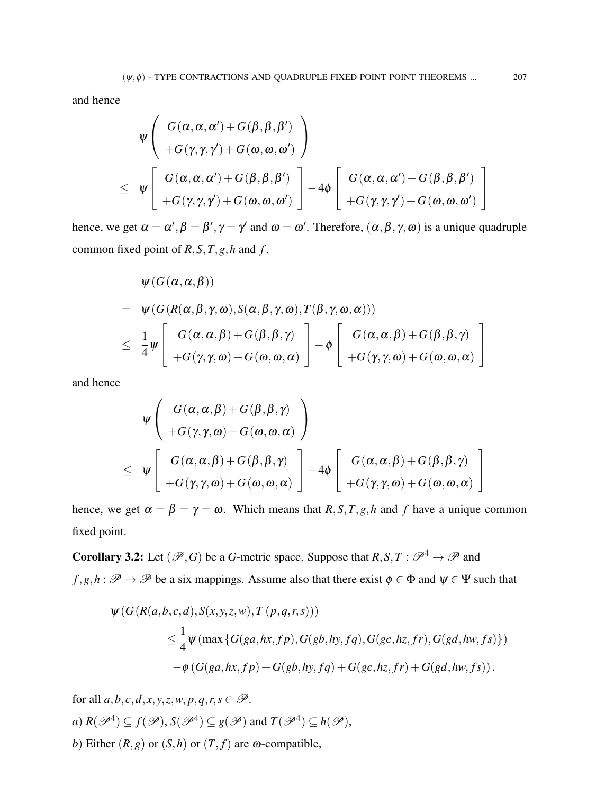and hence

$$
\begin{aligned}\n\psi & \left( \begin{array}{c} G(\alpha, \alpha, \alpha') + G(\beta, \beta, \beta') \\ + G(\gamma, \gamma, \gamma') + G(\omega, \omega, \omega') \end{array} \right) \\
& \leq \psi \left[ \begin{array}{c} G(\alpha, \alpha, \alpha') + G(\beta, \beta, \beta') \\ + G(\gamma, \gamma, \gamma') + G(\omega, \omega, \omega') \end{array} \right] - 4\phi \left[ \begin{array}{c} G(\alpha, \alpha, \alpha') + G(\beta, \beta, \beta') \\ + G(\gamma, \gamma, \gamma') + G(\omega, \omega, \omega') \end{array} \right]\n\end{aligned}
$$

hence, we get  $\alpha = \alpha', \beta = \beta', \gamma = \gamma'$  and  $\omega = \omega'$ . Therefore,  $(\alpha, \beta, \gamma, \omega)$  is a unique quadruple common fixed point of  $R$ ,  $S$ ,  $T$ ,  $g$ ,  $h$  and  $f$ .

$$
\begin{aligned}\n\psi(G(\alpha,\alpha,\beta)) \\
&= \psi(G(R(\alpha,\beta,\gamma,\omega),S(\alpha,\beta,\gamma,\omega),T(\beta,\gamma,\omega,\alpha))) \\
&\leq \frac{1}{4}\psi\left[\begin{array}{c} G(\alpha,\alpha,\beta)+G(\beta,\beta,\gamma) \\ +G(\gamma,\gamma,\omega)+G(\omega,\omega,\alpha) \end{array}\right] - \phi\left[\begin{array}{c} G(\alpha,\alpha,\beta)+G(\beta,\beta,\gamma) \\ +G(\gamma,\gamma,\omega)+G(\omega,\alpha,\alpha) \end{array}\right]\n\end{aligned}
$$

and hence

$$
\begin{aligned}\n\psi & \left( \begin{array}{c} G(\alpha, \alpha, \beta) + G(\beta, \beta, \gamma) \\ + G(\gamma, \gamma, \omega) + G(\omega, \omega, \alpha) \end{array} \right) \\
& \leq \psi \left[ \begin{array}{c} G(\alpha, \alpha, \beta) + G(\beta, \beta, \gamma) \\ + G(\gamma, \gamma, \omega) + G(\omega, \omega, \alpha) \end{array} \right] - 4\phi \left[ \begin{array}{c} G(\alpha, \alpha, \beta) + G(\beta, \beta, \gamma) \\ + G(\gamma, \gamma, \omega) + G(\omega, \omega, \alpha) \end{array} \right]\n\end{aligned}
$$

hence, we get  $\alpha = \beta = \gamma = \omega$ . Which means that *R*, *S*, *T*, *g*, *h* and *f* have a unique common fixed point.

**Corollary 3.2:** Let  $(\mathcal{P}, G)$  be a *G*-metric space. Suppose that  $R, S, T : \mathcal{P}^4 \to \mathcal{P}$  and  $f, g, h : \mathscr{P} \to \mathscr{P}$  be a six mappings. Assume also that there exist  $\phi \in \Phi$  and  $\psi \in \Psi$  such that

$$
\psi(G(R(a, b, c, d), S(x, y, z, w), T(p, q, r, s)))
$$
  
\n
$$
\leq \frac{1}{4} \psi(\max \{G(ga, hx, fp), G(gb, hy, fq), G(gc, hz, fr), G(gd, hw, fs)\})
$$
  
\n
$$
-\phi(G(ga, hx, fp) + G(gb, hy, fq) + G(gc, hz, fr) + G(gd, hw, fs)).
$$

for all  $a, b, c, d, x, y, z, w, p, q, r, s \in \mathcal{P}$ .  $a)$   $R(\mathscr{P}^4) \subseteq f(\mathscr{P}), S(\mathscr{P}^4) \subseteq g(\mathscr{P})$  and  $T(\mathscr{P}^4) \subseteq h(\mathscr{P}),$ *b*) Either  $(R, g)$  or  $(S, h)$  or  $(T, f)$  are  $\omega$ -compatible,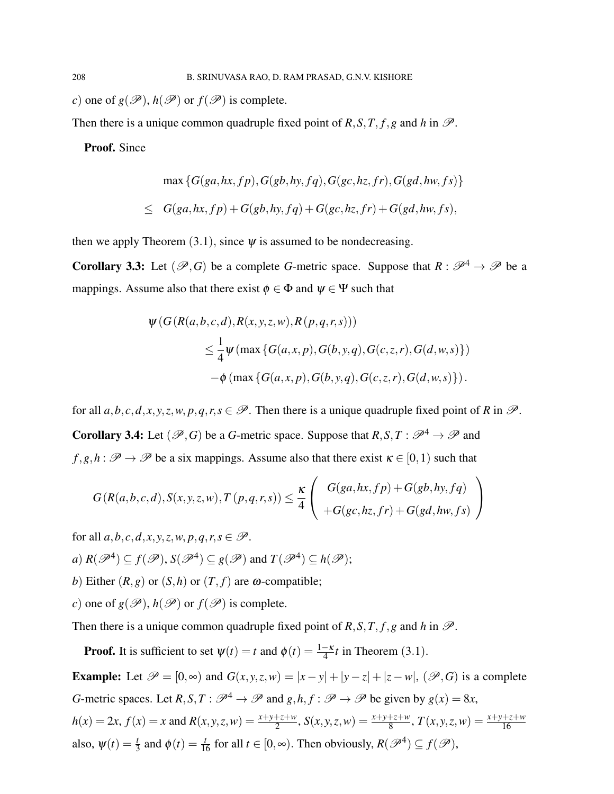*c*) one of  $g(\mathcal{P}), h(\mathcal{P})$  or  $f(\mathcal{P})$  is complete.

Then there is a unique common quadruple fixed point of  $R$ ,  $S$ ,  $T$ ,  $f$ ,  $g$  and  $h$  in  $\mathcal{P}$ .

Proof. Since

$$
\max \left\{G(ga,hx,fp),G(gb,hy,fq),G(gc,hz,fr),G(gd,hw,fs)\right\}
$$
  

$$
\leq G(ga,hx,fp) + G(gb,hy,fq) + G(gc,hz,fr) + G(gd,hw,fs),
$$

then we apply Theorem  $(3.1)$ , since  $\psi$  is assumed to be nondecreasing.

**Corollary 3.3:** Let  $(\mathcal{P}, G)$  be a complete *G*-metric space. Suppose that  $R : \mathcal{P}^4 \to \mathcal{P}$  be a mappings. Assume also that there exist  $\phi \in \Phi$  and  $\psi \in \Psi$  such that

$$
\psi(G(R(a,b,c,d), R(x,y,z,w), R(p,q,r,s)))
$$
  
\n
$$
\leq \frac{1}{4} \psi(\max\{G(a,x,p), G(b,y,q), G(c,z,r), G(d,w,s)\})
$$
  
\n
$$
-\phi(\max\{G(a,x,p), G(b,y,q), G(c,z,r), G(d,w,s)\}).
$$

for all  $a, b, c, d, x, y, z, w, p, q, r, s \in \mathcal{P}$ . Then there is a unique quadruple fixed point of *R* in  $\mathcal{P}$ . **Corollary 3.4:** Let  $(\mathcal{P}, G)$  be a *G*-metric space. Suppose that  $R, S, T : \mathcal{P}^4 \to \mathcal{P}$  and  $f, g, h : \mathscr{P} \to \mathscr{P}$  be a six mappings. Assume also that there exist  $\kappa \in [0, 1)$  such that

$$
G(R(a,b,c,d),S(x,y,z,w),T(p,q,r,s)) \leq \frac{\kappa}{4} \left( \begin{array}{c} G(ga,hx,fp) + G(gb,hy,fq) \\ +G(gc,hz,fr) + G(gd,hw,fs) \end{array} \right)
$$

for all  $a, b, c, d, x, y, z, w, p, a, r, s \in \mathcal{P}$ .

a) 
$$
R(\mathscr{P}^4) \subseteq f(\mathscr{P}), S(\mathscr{P}^4) \subseteq g(\mathscr{P}) \text{ and } T(\mathscr{P}^4) \subseteq h(\mathscr{P});
$$

*b*) Either  $(R, g)$  or  $(S, h)$  or  $(T, f)$  are  $\omega$ -compatible;

*c*) one of  $g(\mathscr{P})$ ,  $h(\mathscr{P})$  or  $f(\mathscr{P})$  is complete.

Then there is a unique common quadruple fixed point of  $R$ ,  $S$ ,  $T$ ,  $f$ ,  $g$  and  $h$  in  $\mathcal{P}$ .

**Proof.** It is sufficient to set  $\psi(t) = t$  and  $\phi(t) = \frac{1-\kappa}{4}t$  in Theorem (3.1).

**Example:** Let  $\mathcal{P} = [0, \infty)$  and  $G(x, y, z, w) = |x - y| + |y - z| + |z - w|$ ,  $(\mathcal{P}, G)$  is a complete *G*-metric spaces. Let *R*, *S*, *T* :  $\mathcal{P}^4 \to \mathcal{P}$  and *g*, *h*, *f* :  $\mathcal{P} \to \mathcal{P}$  be given by  $g(x) = 8x$ ,  $h(x) = 2x$ ,  $f(x) = x$  and  $R(x, y, z, w) = \frac{x+y+z+w}{2}$ ,  $S(x, y, z, w) = \frac{x+y+z+w}{8}$ ,  $T(x, y, z, w) = \frac{x+y+z+w}{16}$ also,  $\psi(t) = \frac{t}{3}$  and  $\phi(t) = \frac{t}{16}$  for all  $t \in [0, \infty)$ . Then obviously,  $R(\mathscr{P}^4) \subseteq f(\mathscr{P})$ ,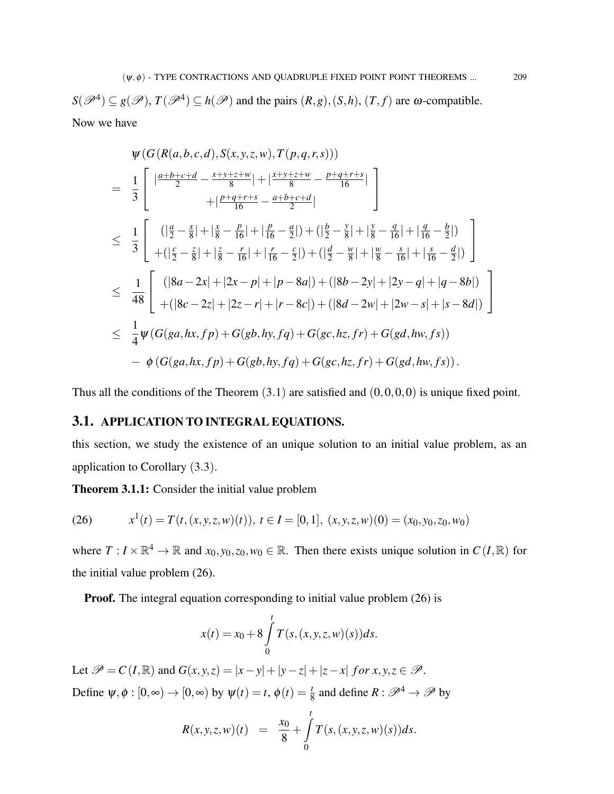$S(\mathscr{P}^4) \subseteq g(\mathscr{P})$ ,  $T(\mathscr{P}^4) \subseteq h(\mathscr{P})$  and the pairs  $(R,g)$ ,  $(S,h)$ ,  $(T,f)$  are  $\omega$ -compatible. Now we have

$$
\psi(G(R(a,b,c,d),S(x,y,z,w),T(p,q,r,s)))
$$
\n
$$
= \frac{1}{3}\begin{bmatrix}\n\frac{a+b+c+d}{2} - \frac{x+y+z+w}{8} | + |\frac{x+y+z+w}{8} - \frac{p+q+r+s}{16}| \\
+ |\frac{p+q+r+s}{16} - \frac{a+b+c+d}{2}| \\
\leq \frac{1}{3}\begin{bmatrix}\n\left(|\frac{a}{2} - \frac{x}{8}| + |\frac{x}{8} - \frac{p}{16}| + |\frac{p}{16} - \frac{a}{2}| \right) + \left(|\frac{b}{2} - \frac{y}{8}| + |\frac{y}{8} - \frac{a}{16}| + |\frac{a}{16} - \frac{b}{2}| \right) \\
+ \left(|\frac{c}{2} - \frac{z}{8}| + |\frac{z}{8} - \frac{r}{16}| + |\frac{r}{16} - \frac{c}{2}| \right) + \left(|\frac{d}{2} - \frac{w}{8}| + |\frac{w}{8} - \frac{s}{16}| + |\frac{s}{16} - \frac{d}{2}| \right)\n\end{bmatrix}
$$
\n
$$
\leq \frac{1}{48}\begin{bmatrix}\n\left(|8a - 2x| + |2x - p| + |p - 8a|\right) + \left(|8b - 2y| + |2y - q| + |q - 8b|\right) \\
+ \left(|8c - 2z| + |2z - r| + |r - 8c|\right) + \left(|8d - 2w| + |2w - s| + |s - 8d|\right) \\
\leq \frac{1}{4}\psi(G(ga, hx, fp) + G(gb, hy, fq) + G(gc, hz, fr) + G(gd, hw, fs)) \\
- \phi(G(ga, hx, fp) + G(gb, hy, fq) + G(gc, hz, fr) + G(gd, hw, fs)).\n\end{bmatrix}
$$

Thus all the conditions of the Theorem  $(3.1)$  are satisfied and  $(0,0,0,0)$  is unique fixed point.

## 3.1. APPLICATION TO INTEGRAL EQUATIONS.

this section, we study the existence of an unique solution to an initial value problem, as an application to Corollary (3.3).

Theorem 3.1.1: Consider the initial value problem

(26) 
$$
x^{1}(t) = T(t,(x,y,z,w)(t)), t \in I = [0,1], (x,y,z,w)(0) = (x_{0},y_{0},z_{0},w_{0})
$$

where  $T: I \times \mathbb{R}^4 \to \mathbb{R}$  and  $x_0, y_0, z_0, w_0 \in \mathbb{R}$ . Then there exists unique solution in  $C(I, \mathbb{R})$  for the initial value problem (26).

**Proof.** The integral equation corresponding to initial value problem (26) is

$$
x(t) = x_0 + 8 \int_{0}^{t} T(s,(x,y,z,w)(s)) ds.
$$

Let  $\mathcal{P} = C(I, \mathbb{R})$  and  $G(x, y, z) = |x - y| + |y - z| + |z - x|$  *for*  $x, y, z \in \mathcal{P}$ . Define  $\psi, \phi : [0, \infty) \to [0, \infty)$  by  $\psi(t) = t$ ,  $\phi(t) = \frac{t}{8}$  and define  $R : \mathscr{P}^4 \to \mathscr{P}$  by

$$
R(x, y, z, w)(t) = \frac{x_0}{8} + \int_{0}^{t} T(s, (x, y, z, w)(s)) ds.
$$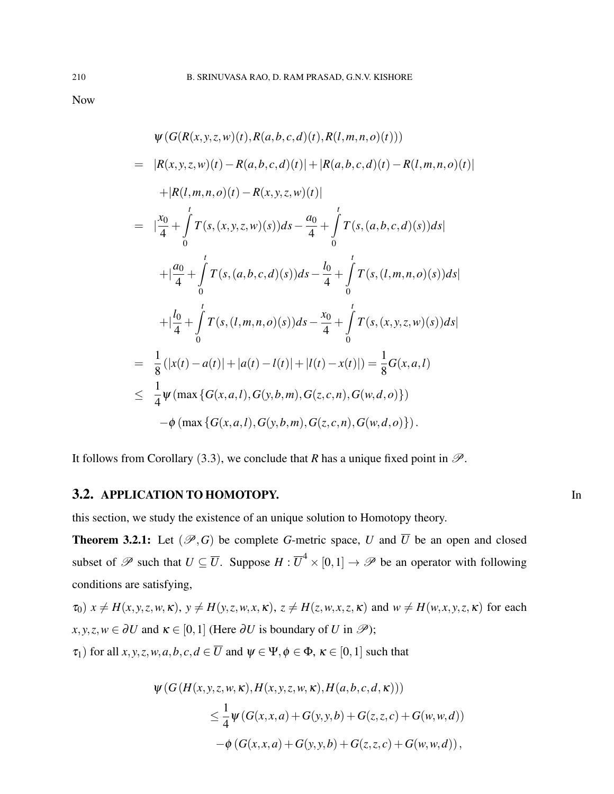Now

$$
\psi(G(R(x, y, z, w)(t), R(a, b, c, d)(t), R(l, m, n, o)(t)))
$$
\n
$$
= |R(x, y, z, w)(t) - R(a, b, c, d)(t)| + |R(a, b, c, d)(t) - R(l, m, n, o)(t)|
$$
\n
$$
+ |R(l, m, n, o)(t) - R(x, y, z, w)(t)|
$$
\n
$$
= |\frac{x_0}{4} + \int_0^t T(s, (x, y, z, w)(s))ds - \frac{a_0}{4} + \int_0^t T(s, (a, b, c, d)(s))ds|
$$
\n
$$
+ |\frac{a_0}{4} + \int_0^t T(s, (a, b, c, d)(s))ds - \frac{l_0}{4} + \int_0^t T(s, (l, m, n, o)(s))ds|
$$
\n
$$
+ |\frac{l_0}{4} + \int_0^t T(s, (l, m, n, o)(s))ds - \frac{x_0}{4} + \int_0^t T(s, (x, y, z, w)(s))ds|
$$
\n
$$
= \frac{1}{8} (|x(t) - a(t)| + |a(t) - l(t)| + |l(t) - x(t)|) = \frac{1}{8} G(x, a, l)
$$
\n
$$
\leq \frac{1}{4} \psi(\max\{G(x, a, l), G(y, b, m), G(z, c, n), G(w, d, o)\})
$$
\n
$$
- \phi(\max\{G(x, a, l), G(y, b, m), G(z, c, n), G(w, d, o)\}).
$$

It follows from Corollary (3.3), we conclude that *R* has a unique fixed point in  $\mathcal{P}$ .

# 3.2. APPLICATION TO HOMOTOPY. In

this section, we study the existence of an unique solution to Homotopy theory.

**Theorem 3.2.1:** Let  $(\mathcal{P}, G)$  be complete *G*-metric space, *U* and  $\overline{U}$  be an open and closed subset of  $\mathscr P$  such that  $U \subseteq \overline{U}$ . Suppose  $H : \overline{U}^4 \times [0,1] \to \mathscr P$  be an operator with following conditions are satisfying,

$$
\tau_0
$$
)  $x \neq H(x, y, z, w, \kappa)$ ,  $y \neq H(y, z, w, x, \kappa)$ ,  $z \neq H(z, w, x, z, \kappa)$  and  $w \neq H(w, x, y, z, \kappa)$  for each  $x, y, z, w \in \partial U$  and  $\kappa \in [0, 1]$  (Here  $\partial U$  is boundary of U in  $\mathcal{P}$ );

 $\tau_1$ ) for all *x*, *y*, *z*, *w*, *a*, *b*, *c*, *d*  $\in \overline{U}$  and  $\psi \in \Psi$ ,  $\phi \in \Phi$ ,  $\kappa \in [0, 1]$  such that

$$
\psi(G(H(x, y, z, w, \kappa), H(x, y, z, w, \kappa), H(a, b, c, d, \kappa)))
$$
  
\n
$$
\leq \frac{1}{4} \psi(G(x, x, a) + G(y, y, b) + G(z, z, c) + G(w, w, d))
$$
  
\n
$$
-\phi(G(x, x, a) + G(y, y, b) + G(z, z, c) + G(w, w, d)),
$$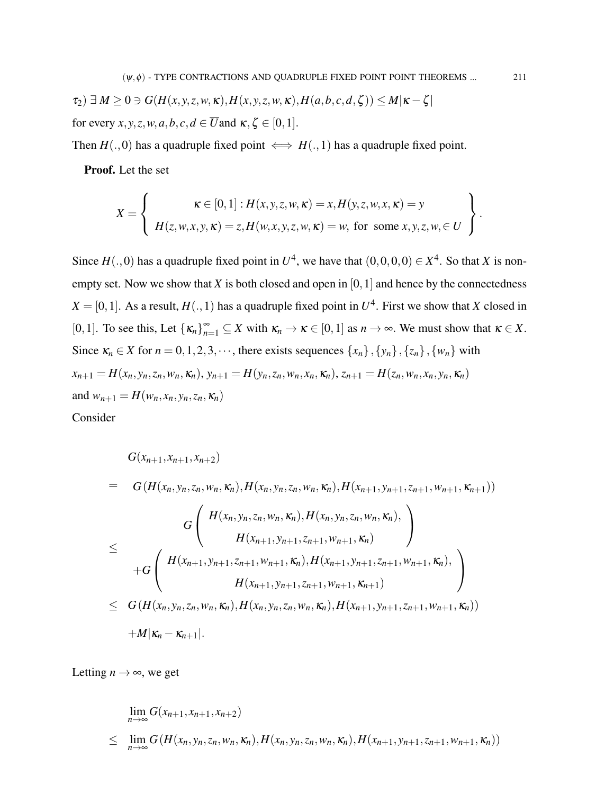$\tau_2$ )  $\exists M \geq 0$   $\ni$   $G(H(x, y, z, w, \kappa), H(x, y, z, w, \kappa), H(a, b, c, d, \zeta)) \leq M|\kappa - \zeta|$ for every *x*, *y*, *z*, *w*, *a*, *b*, *c*, *d*  $\in \overline{U}$  and  $\kappa$ ,  $\zeta \in [0,1]$ .

Then  $H(.,0)$  has a quadruple fixed point  $\iff$   $H(.,1)$  has a quadruple fixed point.

Proof. Let the set

$$
X = \left\{\n\begin{aligned}\n\kappa \in [0,1]: H(x, y, z, w, \kappa) = x, H(y, z, w, x, \kappa) = y \\
H(z, w, x, y, \kappa) = z, H(w, x, y, z, w, \kappa) = w, \text{ for some } x, y, z, w, \in U\n\end{aligned}\n\right\}.
$$

Since  $H(.,0)$  has a quadruple fixed point in  $U^4$ , we have that  $(0,0,0,0) \in X^4$ . So that *X* is nonempty set. Now we show that  $X$  is both closed and open in  $[0,1]$  and hence by the connectedness  $X = [0, 1]$ . As a result,  $H(., 1)$  has a quadruple fixed point in  $U<sup>4</sup>$ . First we show that *X* closed in [0,1]. To see this, Let  $\{\kappa_n\}_{n=1}^{\infty} \subseteq X$  with  $\kappa_n \to \kappa \in [0,1]$  as  $n \to \infty$ . We must show that  $\kappa \in X$ . Since  $\kappa_n \in X$  for  $n = 0, 1, 2, 3, \cdots$ , there exists sequences  $\{x_n\}, \{y_n\}, \{z_n\}, \{w_n\}$  with  $x_{n+1} = H(x_n, y_n, z_n, w_n, \kappa_n), y_{n+1} = H(y_n, z_n, w_n, x_n, \kappa_n), z_{n+1} = H(z_n, w_n, x_n, y_n, \kappa_n)$ and  $w_{n+1} = H(w_n, x_n, y_n, z_n, \kappa_n)$ 

Consider

$$
G(x_{n+1}, x_{n+1}, x_{n+2})
$$
\n
$$
= G(H(x_n, y_n, z_n, w_n, \kappa_n), H(x_n, y_n, z_n, w_n, \kappa_n), H(x_{n+1}, y_{n+1}, z_{n+1}, w_{n+1}, \kappa_{n+1}))
$$
\n
$$
G\left(H(x_n, y_n, z_n, w_n, \kappa_n), H(x_n, y_n, z_n, w_n, \kappa_n),\right)
$$
\n
$$
= H\left(H(x_{n+1}, y_{n+1}, z_{n+1}, w_{n+1}, \kappa_n), H(x_{n+1}, y_{n+1}, z_{n+1}, w_{n+1}, \kappa_n),\right)
$$
\n
$$
H(x_{n+1}, y_{n+1}, z_{n+1}, w_{n+1}, \kappa_{n+1})
$$
\n
$$
\leq G(H(x_n, y_n, z_n, w_n, \kappa_n), H(x_n, y_n, z_n, w_n, \kappa_n), H(x_{n+1}, y_{n+1}, z_{n+1}, w_{n+1}, \kappa_n))
$$
\n
$$
+ M|\kappa_n - \kappa_{n+1}|.
$$

Letting  $n \to \infty$ , we get

$$
\lim_{n \to \infty} G(x_{n+1}, x_{n+1}, x_{n+2})
$$
\n
$$
\leq \lim_{n \to \infty} G(H(x_n, y_n, z_n, w_n, \kappa_n), H(x_n, y_n, z_n, w_n, \kappa_n), H(x_{n+1}, y_{n+1}, z_{n+1}, w_{n+1}, \kappa_n))
$$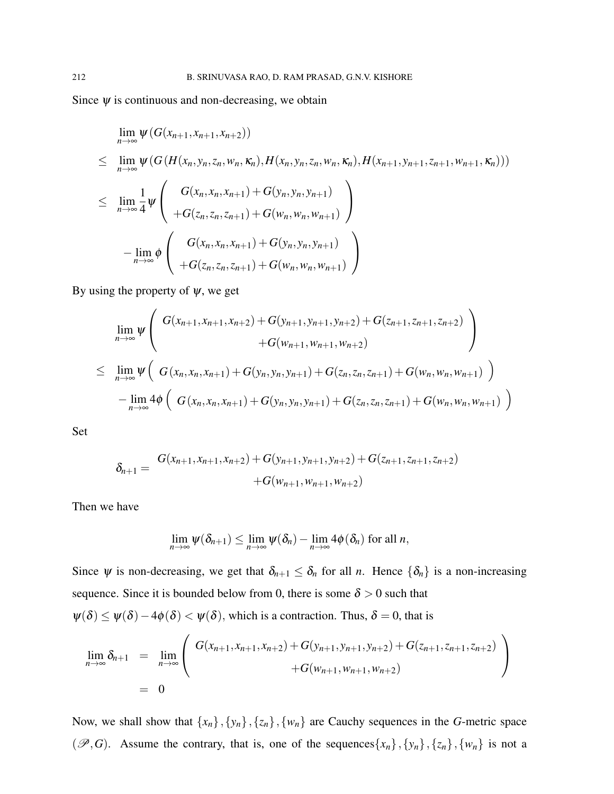Since  $\psi$  is continuous and non-decreasing, we obtain

$$
\lim_{n \to \infty} \psi(G(x_{n+1}, x_{n+1}, x_{n+2}))
$$
\n
$$
\leq \lim_{n \to \infty} \psi(G(H(x_n, y_n, z_n, w_n, \kappa_n), H(x_n, y_n, z_n, w_n, \kappa_n), H(x_{n+1}, y_{n+1}, z_{n+1}, w_{n+1}, \kappa_n)))
$$
\n
$$
\leq \lim_{n \to \infty} \frac{1}{4} \psi \left( \frac{G(x_n, x_n, x_{n+1}) + G(y_n, y_n, y_{n+1})}{+G(z_n, z_n, z_{n+1}) + G(w_n, w_n, w_{n+1})} \right)
$$
\n
$$
- \lim_{n \to \infty} \phi \left( \frac{G(x_n, x_n, x_{n+1}) + G(y_n, y_n, y_{n+1})}{+G(z_n, z_n, z_{n+1}) + G(w_n, w_n, w_{n+1})} \right)
$$

By using the property of  $\psi$ , we get

$$
\lim_{n \to \infty} \psi \left( G(x_{n+1}, x_{n+1}, x_{n+2}) + G(y_{n+1}, y_{n+1}, y_{n+2}) + G(z_{n+1}, z_{n+1}, z_{n+2}) + G(w_{n+1}, w_{n+1}, w_{n+2}) \right)
$$
\n
$$
\leq \lim_{n \to \infty} \psi \left( G(x_n, x_n, x_{n+1}) + G(y_n, y_n, y_{n+1}) + G(z_n, z_n, z_{n+1}) + G(w_n, w_n, w_{n+1}) \right)
$$
\n
$$
- \lim_{n \to \infty} 4\phi \left( G(x_n, x_n, x_{n+1}) + G(y_n, y_n, y_{n+1}) + G(z_n, z_n, z_{n+1}) + G(w_n, w_n, w_{n+1}) \right)
$$

Set

$$
\delta_{n+1} = \frac{G(x_{n+1}, x_{n+1}, x_{n+2}) + G(y_{n+1}, y_{n+1}, y_{n+2}) + G(z_{n+1}, z_{n+1}, z_{n+2})}{+G(w_{n+1}, w_{n+1}, w_{n+2})}
$$

Then we have

$$
\lim_{n\to\infty}\psi(\delta_{n+1})\leq \lim_{n\to\infty}\psi(\delta_n)-\lim_{n\to\infty}4\phi(\delta_n)
$$
 for all *n*,

Since  $\psi$  is non-decreasing, we get that  $\delta_{n+1} \leq \delta_n$  for all *n*. Hence  $\{\delta_n\}$  is a non-increasing sequence. Since it is bounded below from 0, there is some  $\delta > 0$  such that  $\psi(\delta) \leq \psi(\delta) - 4\phi(\delta) < \psi(\delta)$ , which is a contraction. Thus,  $\delta = 0$ , that is

$$
\lim_{n \to \infty} \delta_{n+1} = \lim_{n \to \infty} \left( \frac{G(x_{n+1}, x_{n+1}, x_{n+2}) + G(y_{n+1}, y_{n+1}, y_{n+2}) + G(z_{n+1}, z_{n+1}, z_{n+2})}{+G(w_{n+1}, w_{n+1}, w_{n+2})} \right)
$$
\n
$$
= 0
$$

Now, we shall show that  $\{x_n\}$ ,  $\{y_n\}$ ,  $\{z_n\}$ ,  $\{w_n\}$  are Cauchy sequences in the *G*-metric space  $(\mathscr{P}, G)$ . Assume the contrary, that is, one of the sequences  $\{x_n\}$ ,  $\{y_n\}$ ,  $\{z_n\}$ ,  $\{w_n\}$  is not a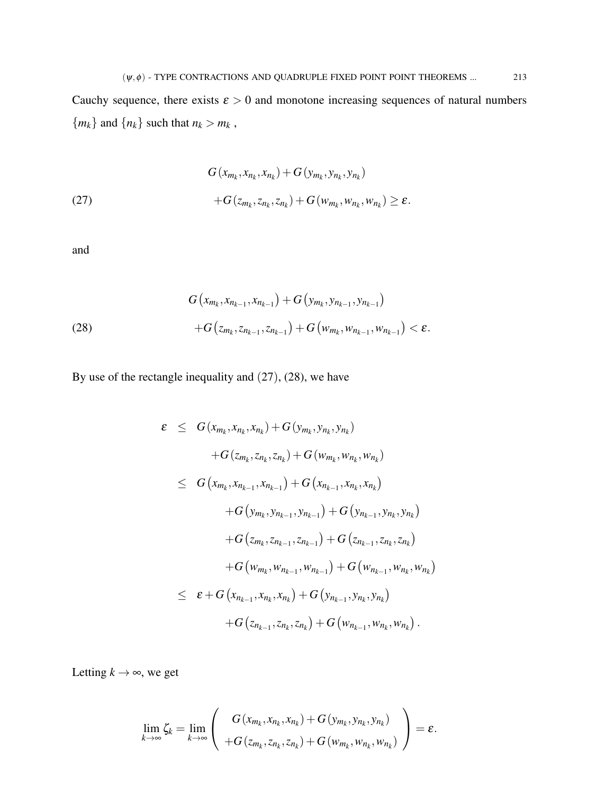Cauchy sequence, there exists  $\varepsilon > 0$  and monotone increasing sequences of natural numbers  ${m_k}$  and  ${n_k}$  such that  $n_k > m_k$ ,

(27) 
$$
G(x_{m_k}, x_{n_k}, x_{n_k}) + G(y_{m_k}, y_{n_k}, y_{n_k}) + G(z_{m_k}, z_{n_k}, z_{n_k}) + G(w_{m_k}, w_{n_k}, w_{n_k}) \ge \varepsilon.
$$

and

(28) 
$$
G(x_{m_k}, x_{n_{k-1}}, x_{n_{k-1}}) + G(y_{m_k}, y_{n_{k-1}}, y_{n_{k-1}}) + G(z_{m_k}, z_{n_{k-1}}, z_{n_{k-1}}) + G(w_{m_k}, w_{n_{k-1}}, w_{n_{k-1}}) < \varepsilon.
$$

By use of the rectangle inequality and (27), (28), we have

$$
\varepsilon \leq G(x_{m_k}, x_{n_k}, x_{n_k}) + G(y_{m_k}, y_{n_k}, y_{n_k})
$$
  
+
$$
G(z_{m_k}, z_{n_k}, z_{n_k}) + G(w_{m_k}, w_{n_k}, w_{n_k})
$$
  

$$
\leq G(x_{m_k}, x_{n_{k-1}}, x_{n_{k-1}}) + G(x_{n_{k-1}}, x_{n_k}, x_{n_k})
$$
  
+
$$
G(y_{m_k}, y_{n_{k-1}}, y_{n_{k-1}}) + G(y_{n_{k-1}}, y_{n_k}, y_{n_k})
$$
  
+
$$
G(z_{m_k}, z_{n_{k-1}}, z_{n_{k-1}}) + G(z_{n_{k-1}}, z_{n_k}, z_{n_k})
$$
  
+
$$
G(w_{m_k}, w_{n_{k-1}}, w_{n_{k-1}}) + G(w_{n_{k-1}}, w_{n_k}, w_{n_k})
$$
  

$$
\leq \varepsilon + G(x_{n_{k-1}}, x_{n_k}, x_{n_k}) + G(y_{n_{k-1}}, y_{n_k}, y_{n_k})
$$
  
+
$$
G(z_{n_{k-1}}, z_{n_k}, z_{n_k}) + G(w_{n_{k-1}}, w_{n_k}, w_{n_k}).
$$

Letting  $k \rightarrow \infty$ , we get

$$
\lim_{k\to\infty}\zeta_k=\lim_{k\to\infty}\left(\begin{array}{c}G(x_{m_k},x_{n_k},x_{n_k})+G(y_{m_k},y_{n_k},y_{n_k})\\+G(z_{m_k},z_{n_k},z_{n_k})+G(w_{m_k},w_{n_k},w_{n_k})\end{array}\right)=\varepsilon.
$$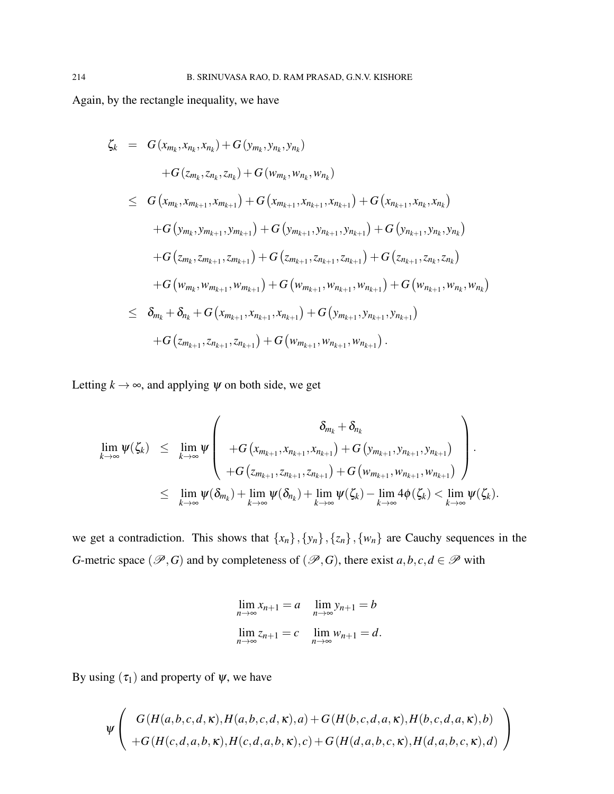Again, by the rectangle inequality, we have

$$
\zeta_{k} = G(x_{m_{k}}, x_{n_{k}}, x_{n_{k}}) + G(y_{m_{k}}, y_{n_{k}}, y_{n_{k}})
$$
  
+
$$
G(z_{m_{k}}, z_{n_{k}}, z_{n_{k}}) + G(w_{m_{k}}, w_{n_{k}}, w_{n_{k}})
$$
  

$$
\leq G(x_{m_{k}}, x_{m_{k+1}}, x_{m_{k+1}}) + G(x_{m_{k+1}}, x_{n_{k+1}}, x_{n_{k+1}}) + G(x_{n_{k+1}}, x_{n_{k}}, x_{n_{k}})
$$
  
+
$$
G(y_{m_{k}}, y_{m_{k+1}}, y_{m_{k+1}}) + G(y_{m_{k+1}}, y_{n_{k+1}}, y_{n_{k+1}}) + G(y_{n_{k+1}}, y_{n_{k}}, y_{n_{k}})
$$
  
+
$$
G(z_{m_{k}}, z_{m_{k+1}}, z_{m_{k+1}}) + G(z_{m_{k+1}}, z_{n_{k+1}}, z_{n_{k+1}}) + G(z_{n_{k+1}}, z_{n_{k}}, z_{n_{k}})
$$
  
+
$$
G(w_{m_{k}}, w_{m_{k+1}}, w_{m_{k+1}}) + G(w_{m_{k+1}}, w_{n_{k+1}}, w_{n_{k+1}}) + G(w_{n_{k+1}}, w_{n_{k}}, w_{n_{k}})
$$
  

$$
\leq \delta_{m_{k}} + \delta_{n_{k}} + G(x_{m_{k+1}}, x_{n_{k+1}}, x_{n_{k+1}}) + G(y_{m_{k+1}}, y_{n_{k+1}}, y_{n_{k+1}})
$$
  
+
$$
G(z_{m_{k+1}}, z_{n_{k+1}}, z_{n_{k+1}}) + G(w_{m_{k+1}}, w_{n_{k+1}}, w_{n_{k+1}}).
$$

Letting  $k \rightarrow \infty$ , and applying  $\psi$  on both side, we get

$$
\lim_{k\to\infty}\psi(\zeta_k) \leq \lim_{k\to\infty}\psi\left(\begin{array}{c} \delta_{m_k}+\delta_{n_k} \\ +G(x_{m_{k+1}},x_{n_{k+1}},x_{n_{k+1}})+G(y_{m_{k+1}},y_{n_{k+1}},y_{n_{k+1}}) \\ +G(x_{m_{k+1}},z_{n_{k+1}},z_{n_{k+1}})+G(w_{m_{k+1}},w_{n_{k+1}},w_{n_{k+1}}) \end{array}\right).
$$
\n
$$
\leq \lim_{k\to\infty}\psi(\delta_{m_k})+\lim_{k\to\infty}\psi(\delta_{n_k})+\lim_{k\to\infty}\psi(\zeta_k)-\lim_{k\to\infty}4\phi(\zeta_k)<\lim_{k\to\infty}\psi(\zeta_k).
$$

we get a contradiction. This shows that  $\{x_n\}, \{y_n\}, \{z_n\}, \{w_n\}$  are Cauchy sequences in the *G*-metric space ( $\mathscr{P}, G$ ) and by completeness of ( $\mathscr{P}, G$ ), there exist  $a, b, c, d \in \mathscr{P}$  with

$$
\lim_{n \to \infty} x_{n+1} = a \quad \lim_{n \to \infty} y_{n+1} = b
$$
  

$$
\lim_{n \to \infty} z_{n+1} = c \quad \lim_{n \to \infty} w_{n+1} = d.
$$

By using  $(\tau_1)$  and property of  $\psi$ , we have

$$
\psi \left( G(H(a,b,c,d,\kappa),H(a,b,c,d,\kappa),a) + G(H(b,c,d,a,\kappa),H(b,c,d,a,\kappa),b) + G(H(c,d,a,b,\kappa),H(c,d,a,b,\kappa),c) + G(H(d,a,b,c,\kappa),H(d,a,b,c,\kappa),d) \right)
$$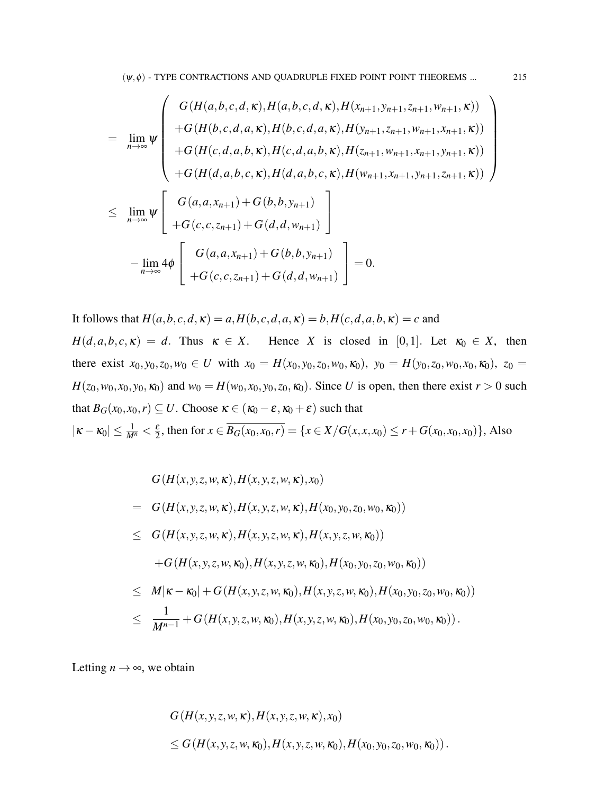$$
\lim_{n \to \infty} \psi \left( \begin{array}{c} G(H(a,b,c,d,\kappa), H(a,b,c,d,\kappa), H(x_{n+1},y_{n+1},z_{n+1},w_{n+1},\kappa)) \\ + G(H(b,c,d,a,\kappa), H(b,c,d,a,\kappa), H(y_{n+1},z_{n+1},w_{n+1},x_{n+1},\kappa)) \\ + G(H(c,d,a,b,\kappa), H(c,d,a,b,\kappa), H(z_{n+1},w_{n+1},x_{n+1},y_{n+1},\kappa)) \\ + G(H(d,a,b,c,\kappa), H(d,a,b,c,\kappa), H(w_{n+1},x_{n+1},y_{n+1},z_{n+1},\kappa)) \\ + G(c,c,z_{n+1}) + G(b,b,y_{n+1}) \\ - \lim_{n \to \infty} 4\phi \left[ \begin{array}{c} G(a,a,x_{n+1}) + G(b,b,y_{n+1}) \\ G(c,c,z_{n+1}) + G(b,b,y_{n+1}) \\ + G(c,c,z_{n+1}) + G(d,d,w_{n+1}) \end{array} \right] = 0. \end{array} \right)
$$

It follows that  $H(a, b, c, d, \kappa) = a$ ,  $H(b, c, d, a, \kappa) = b$ ,  $H(c, d, a, b, \kappa) = c$  and  $H(d, a, b, c, \kappa) = d$ . Thus  $\kappa \in X$ . Hence *X* is closed in [0,1]. Let  $\kappa_0 \in X$ , then there exist  $x_0, y_0, z_0, w_0 \in U$  with  $x_0 = H(x_0, y_0, z_0, w_0, \kappa_0)$ ,  $y_0 = H(y_0, z_0, w_0, x_0, \kappa_0)$ ,  $z_0 =$  $H(z_0, w_0, x_0, y_0, \kappa_0)$  and  $w_0 = H(w_0, x_0, y_0, z_0, \kappa_0)$ . Since *U* is open, then there exist  $r > 0$  such that  $B_G(x_0, x_0, r) \subseteq U$ . Choose  $\kappa \in (\kappa_0 - \varepsilon, \kappa_0 + \varepsilon)$  such that  $|\kappa - \kappa_0| \leq \frac{1}{M^n} < \frac{\varepsilon}{2}$  $\frac{\varepsilon}{2}$ , then for  $x \in B_G(x_0, x_0, r) = \{x \in X/G(x, x, x_0) \le r + G(x_0, x_0, x_0)\},$  Also

$$
G(H(x, y, z, w, \kappa), H(x, y, z, w, \kappa), x_0)
$$
  
=  $G(H(x, y, z, w, \kappa), H(x, y, z, w, \kappa), H(x_0, y_0, z_0, w_0, \kappa_0))$   
 $\leq G(H(x, y, z, w, \kappa), H(x, y, z, w, \kappa), H(x, y, z, w, \kappa_0))$   
+ $G(H(x, y, z, w, \kappa_0), H(x, y, z, w, \kappa_0), H(x_0, y_0, z_0, w_0, \kappa_0))$   
 $\leq M|\kappa - \kappa_0| + G(H(x, y, z, w, \kappa_0), H(x, y, z, w, \kappa_0), H(x_0, y_0, z_0, w_0, \kappa_0))$   
 $\leq \frac{1}{M^{n-1}} + G(H(x, y, z, w, \kappa_0), H(x, y, z, w, \kappa_0), H(x_0, y_0, z_0, w_0, \kappa_0)).$ 

Letting  $n \to \infty$ , we obtain

$$
G(H(x, y, z, w, \kappa), H(x, y, z, w, \kappa), x_0)
$$
  
\$\le G(H(x, y, z, w, \kappa\_0), H(x, y, z, w, \kappa\_0), H(x\_0, y\_0, z\_0, w\_0, \kappa\_0))\$.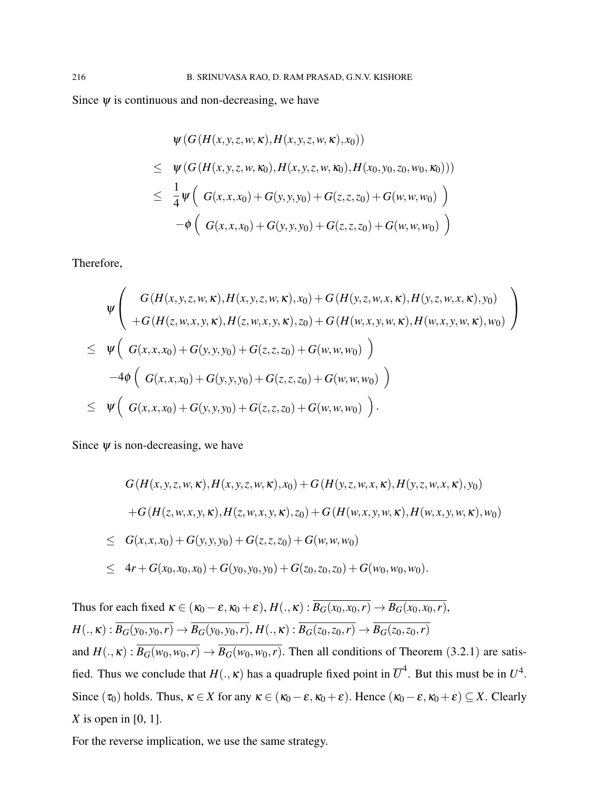Since  $\psi$  is continuous and non-decreasing, we have

$$
\psi(G(H(x, y, z, w, \kappa), H(x, y, z, w, \kappa), x_0))
$$
\n
$$
\leq \psi(G(H(x, y, z, w, \kappa_0), H(x, y, z, w, \kappa_0), H(x_0, y_0, z_0, w_0, \kappa_0)))
$$
\n
$$
\leq \frac{1}{4}\psi\left(G(x, x, x_0) + G(y, y, y_0) + G(z, z, z_0) + G(w, w, w_0)\right)
$$
\n
$$
-\phi\left(G(x, x, x_0) + G(y, y, y_0) + G(z, z, z_0) + G(w, w, w_0)\right)
$$

Therefore,

$$
\psi \left( G(H(x, y, z, w, \kappa), H(x, y, z, w, \kappa), x_0) + G(H(y, z, w, x, \kappa), H(y, z, w, x, \kappa), y_0) \n+ G(H(z, w, x, y, \kappa), H(z, w, x, y, \kappa), z_0) + G(H(w, x, y, w, \kappa), H(w, x, y, w, \kappa), w_0) \right) \n\leq \psi \left( G(x, x, x_0) + G(y, y, y_0) + G(z, z, z_0) + G(w, w, w_0) \right) \n-4\phi \left( G(x, x, x_0) + G(y, y, y_0) + G(z, z, z_0) + G(w, w, w_0) \right) \n\leq \psi \left( G(x, x, x_0) + G(y, y, y_0) + G(z, z, z_0) + G(w, w, w_0) \right).
$$

Since  $\psi$  is non-decreasing, we have

$$
G(H(x, y, z, w, \kappa), H(x, y, z, w, \kappa), x_0) + G(H(y, z, w, x, \kappa), H(y, z, w, x, \kappa), y_0)
$$
  
+
$$
G(H(z, w, x, y, \kappa), H(z, w, x, y, \kappa), z_0) + G(H(w, x, y, w, \kappa), H(w, x, y, w, \kappa), w_0)
$$
  

$$
\leq G(x, x, x_0) + G(y, y, y_0) + G(z, z, z_0) + G(w, w, w_0)
$$
  

$$
\leq 4r + G(x_0, x_0, x_0) + G(y_0, y_0, y_0) + G(z_0, z_0, z_0) + G(w_0, w_0, w_0).
$$

Thus for each fixed  $\kappa \in (\kappa_0 - \varepsilon, \kappa_0 + \varepsilon), H(., \kappa): \overline{B_G(x_0, x_0, r)} \to \overline{B_G(x_0, x_0, r)},$  $H(.,\kappa): \overline{B_G(y_0,y_0,r)} \to \overline{B_G(y_0,y_0,r)}, H(.,\kappa): \overline{B_G(z_0,z_0,r)} \to \overline{B_G(z_0,z_0,r)}$ and  $H(.,\kappa): \overline{B_G(w_0,w_0,r)} \to \overline{B_G(w_0,w_0,r)}$ . Then all conditions of Theorem (3.2.1) are satisfied. Thus we conclude that  $H(.,\kappa)$  has a quadruple fixed point in  $\overline{U}^4$ . But this must be in  $U^4$ . Since  $(\tau_0)$  holds. Thus,  $\kappa \in X$  for any  $\kappa \in (\kappa_0 - \varepsilon, \kappa_0 + \varepsilon)$ . Hence  $(\kappa_0 - \varepsilon, \kappa_0 + \varepsilon) \subseteq X$ . Clearly *X* is open in [0, 1].

For the reverse implication, we use the same strategy.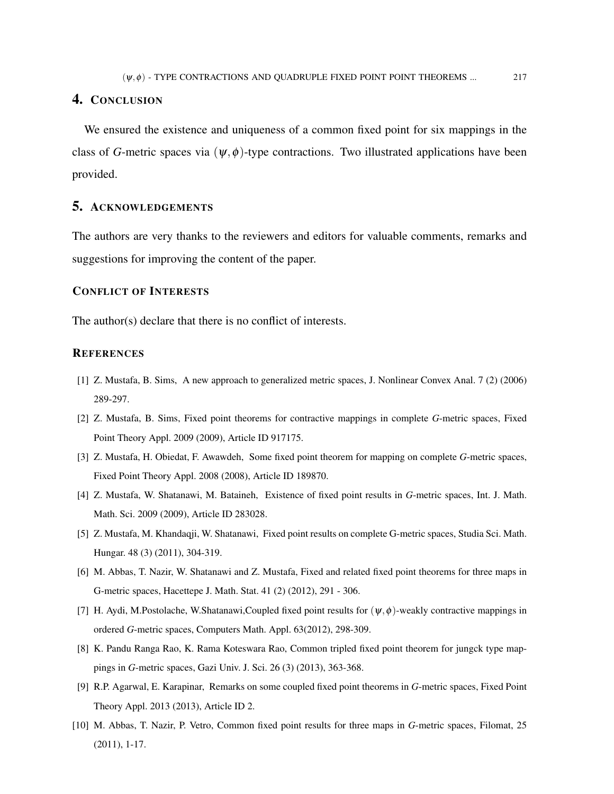## 4. CONCLUSION

We ensured the existence and uniqueness of a common fixed point for six mappings in the class of *G*-metric spaces via  $(\psi, \phi)$ -type contractions. Two illustrated applications have been provided.

#### 5. ACKNOWLEDGEMENTS

The authors are very thanks to the reviewers and editors for valuable comments, remarks and suggestions for improving the content of the paper.

## CONFLICT OF INTERESTS

The author(s) declare that there is no conflict of interests.

## **REFERENCES**

- [1] Z. Mustafa, B. Sims, A new approach to generalized metric spaces, J. Nonlinear Convex Anal. 7 (2) (2006) 289-297.
- [2] Z. Mustafa, B. Sims, Fixed point theorems for contractive mappings in complete *G*-metric spaces, Fixed Point Theory Appl. 2009 (2009), Article ID 917175.
- [3] Z. Mustafa, H. Obiedat, F. Awawdeh, Some fixed point theorem for mapping on complete *G*-metric spaces, Fixed Point Theory Appl. 2008 (2008), Article ID 189870.
- [4] Z. Mustafa, W. Shatanawi, M. Bataineh, Existence of fixed point results in *G*-metric spaces, Int. J. Math. Math. Sci. 2009 (2009), Article ID 283028.
- [5] Z. Mustafa, M. Khandaqji, W. Shatanawi, Fixed point results on complete G-metric spaces, Studia Sci. Math. Hungar. 48 (3) (2011), 304-319.
- [6] M. Abbas, T. Nazir, W. Shatanawi and Z. Mustafa, Fixed and related fixed point theorems for three maps in G-metric spaces, Hacettepe J. Math. Stat. 41 (2) (2012), 291 - 306.
- [7] H. Aydi, M.Postolache, W.Shatanawi,Coupled fixed point results for  $(\psi, \phi)$ -weakly contractive mappings in ordered *G*-metric spaces, Computers Math. Appl. 63(2012), 298-309.
- [8] K. Pandu Ranga Rao, K. Rama Koteswara Rao, Common tripled fixed point theorem for jungck type mappings in *G*-metric spaces, Gazi Univ. J. Sci. 26 (3) (2013), 363-368.
- [9] R.P. Agarwal, E. Karapinar, Remarks on some coupled fixed point theorems in *G*-metric spaces, Fixed Point Theory Appl. 2013 (2013), Article ID 2.
- [10] M. Abbas, T. Nazir, P. Vetro, Common fixed point results for three maps in *G*-metric spaces, Filomat, 25 (2011), 1-17.